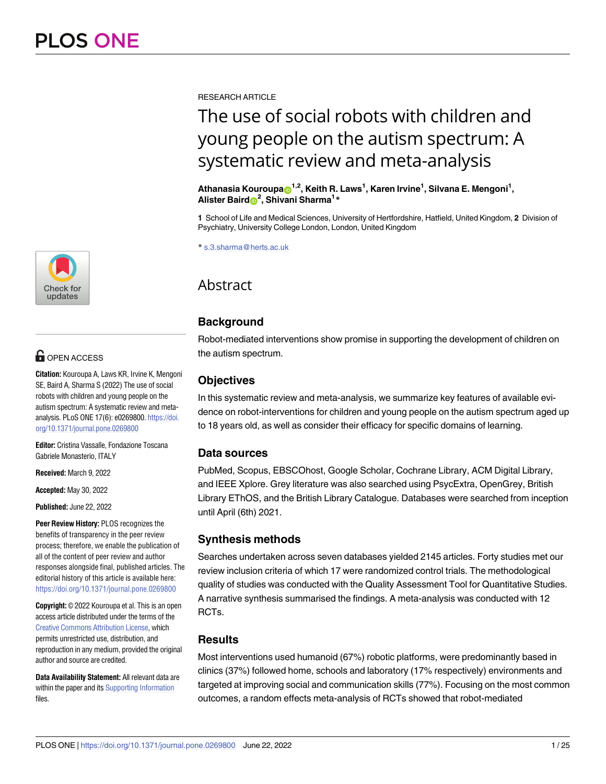<u>[a1111111111](http://crossmark.crossref.org/dialog/?doi=10.1371/journal.pone.0269800&domain=pdf&date_stamp=2022-06-22)11111111111111111111</u> **a** 111 [a1111111111](http://crossmark.crossref.org/dialog/?doi=10.1371/journal.pone.0269800&domain=pdf&date_stamp=2022-06-22) Check for updates

## $\blacksquare$  OPEN ACCESS

**Citation:** Kouroupa A, Laws KR, Irvine K, Mengoni SE, Baird A, Sharma S (2022) The use of social robots with children and young people on the autism spectrum: A systematic review and metaanalysis. PLoS ONE 17(6): e0269800. [https://doi.](https://doi.org/10.1371/journal.pone.0269800) [org/10.1371/journal.pone.0269800](https://doi.org/10.1371/journal.pone.0269800)

**Editor:** Cristina Vassalle, Fondazione Toscana Gabriele Monasterio, ITALY

**Received:** March 9, 2022

**Accepted:** May 30, 2022

**Published:** June 22, 2022

**Peer Review History:** PLOS recognizes the benefits of transparency in the peer review process; therefore, we enable the publication of all of the content of peer review and author responses alongside final, published articles. The editorial history of this article is available here: <https://doi.org/10.1371/journal.pone.0269800>

**Copyright:** © 2022 Kouroupa et al. This is an open access article distributed under the terms of the Creative Commons [Attribution](http://creativecommons.org/licenses/by/4.0/) License, which permits unrestricted use, distribution, and reproduction in any medium, provided the original author and source are credited.

**Data Availability Statement:** All relevant data are within the paper and its Supporting [Information](#page-18-0) files.

RESEARCH ARTICLE

# The use of social robots with children and young people on the autism spectrum: A systematic review and meta-analysis

 $\mathbf{A}$ thanasia Kouroupa $\mathbf{D}^{1,2}$ , Keith R. Laws<sup>1</sup>, Karen Irvine<sup>1</sup>, Silvana E. Mengoni<sup>1</sup>, **Alister Bair[dID](https://orcid.org/0000-0003-4085-0803)2 , Shivani Sharma1 \***

**1** School of Life and Medical Sciences, University of Hertfordshire, Hatfield, United Kingdom, **2** Division of Psychiatry, University College London, London, United Kingdom

\* s.3.sharma@herts.ac.uk

## Abstract

## **Background**

Robot-mediated interventions show promise in supporting the development of children on the autism spectrum.

## **Objectives**

In this systematic review and meta-analysis, we summarize key features of available evidence on robot-interventions for children and young people on the autism spectrum aged up to 18 years old, as well as consider their efficacy for specific domains of learning.

## **Data sources**

PubMed, Scopus, EBSCOhost, Google Scholar, Cochrane Library, ACM Digital Library, and IEEE Xplore. Grey literature was also searched using PsycExtra, OpenGrey, British Library EThOS, and the British Library Catalogue. Databases were searched from inception until April (6th) 2021.

## **Synthesis methods**

Searches undertaken across seven databases yielded 2145 articles. Forty studies met our review inclusion criteria of which 17 were randomized control trials. The methodological quality of studies was conducted with the Quality Assessment Tool for Quantitative Studies. A narrative synthesis summarised the findings. A meta-analysis was conducted with 12 RCTs.

## **Results**

Most interventions used humanoid (67%) robotic platforms, were predominantly based in clinics (37%) followed home, schools and laboratory (17% respectively) environments and targeted at improving social and communication skills (77%). Focusing on the most common outcomes, a random effects meta-analysis of RCTs showed that robot-mediated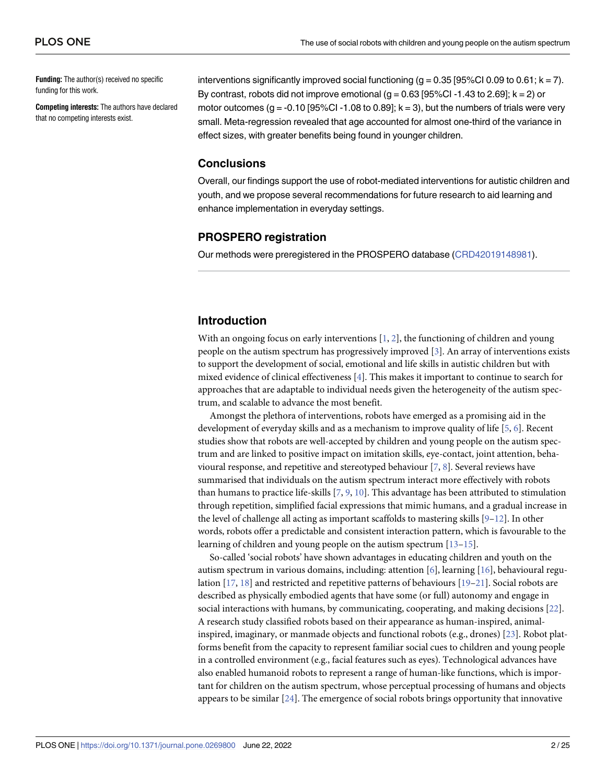<span id="page-1-0"></span>**Funding:** The author(s) received no specific funding for this work.

**Competing interests:** The authors have declared that no competing interests exist.

interventions significantly improved social functioning ( $g = 0.35$  [95%Cl 0.09 to 0.61;  $k = 7$ ). By contrast, robots did not improve emotional  $(g = 0.63$  [95%CI -1.43 to 2.69];  $k = 2$ ) or motor outcomes (g = -0.10 [95%CI -1.08 to 0.89];  $k = 3$ ), but the numbers of trials were very small. Meta-regression revealed that age accounted for almost one-third of the variance in effect sizes, with greater benefits being found in younger children.

#### **Conclusions**

Overall, our findings support the use of robot-mediated interventions for autistic children and youth, and we propose several recommendations for future research to aid learning and enhance implementation in everyday settings.

#### **PROSPERO registration**

Our methods were preregistered in the PROSPERO database ([CRD42019148981\)](https://www.crd.york.ac.uk/prospero/display_record.php?ID=CRD42019148981).

#### **Introduction**

With an ongoing focus on early interventions [\[1](#page-19-0), [2](#page-19-0)], the functioning of children and young people on the autism spectrum has progressively improved [[3\]](#page-19-0). An array of interventions exists to support the development of social, emotional and life skills in autistic children but with mixed evidence of clinical effectiveness [[4](#page-19-0)]. This makes it important to continue to search for approaches that are adaptable to individual needs given the heterogeneity of the autism spectrum, and scalable to advance the most benefit.

Amongst the plethora of interventions, robots have emerged as a promising aid in the development of everyday skills and as a mechanism to improve quality of life [[5,](#page-19-0) [6\]](#page-19-0). Recent studies show that robots are well-accepted by children and young people on the autism spectrum and are linked to positive impact on imitation skills, eye-contact, joint attention, behavioural response, and repetitive and stereotyped behaviour  $[7, 8]$  $[7, 8]$  $[7, 8]$  $[7, 8]$ . Several reviews have summarised that individuals on the autism spectrum interact more effectively with robots than humans to practice life-skills [[7,](#page-20-0) [9,](#page-20-0) [10\]](#page-20-0). This advantage has been attributed to stimulation through repetition, simplified facial expressions that mimic humans, and a gradual increase in the level of challenge all acting as important scaffolds to mastering skills  $[9-12]$ . In other words, robots offer a predictable and consistent interaction pattern, which is favourable to the learning of children and young people on the autism spectrum [[13–15\]](#page-20-0).

So-called 'social robots' have shown advantages in educating children and youth on the autism spectrum in various domains, including: attention [\[6](#page-19-0)], learning [[16](#page-20-0)], behavioural regulation  $[17, 18]$  $[17, 18]$  $[17, 18]$  $[17, 18]$  $[17, 18]$  and restricted and repetitive patterns of behaviours  $[19-21]$ . Social robots are described as physically embodied agents that have some (or full) autonomy and engage in social interactions with humans, by communicating, cooperating, and making decisions [\[22\]](#page-20-0). A research study classified robots based on their appearance as human-inspired, animalinspired, imaginary, or manmade objects and functional robots (e.g., drones) [\[23\]](#page-20-0). Robot platforms benefit from the capacity to represent familiar social cues to children and young people in a controlled environment (e.g., facial features such as eyes). Technological advances have also enabled humanoid robots to represent a range of human-like functions, which is important for children on the autism spectrum, whose perceptual processing of humans and objects appears to be similar [[24](#page-20-0)]. The emergence of social robots brings opportunity that innovative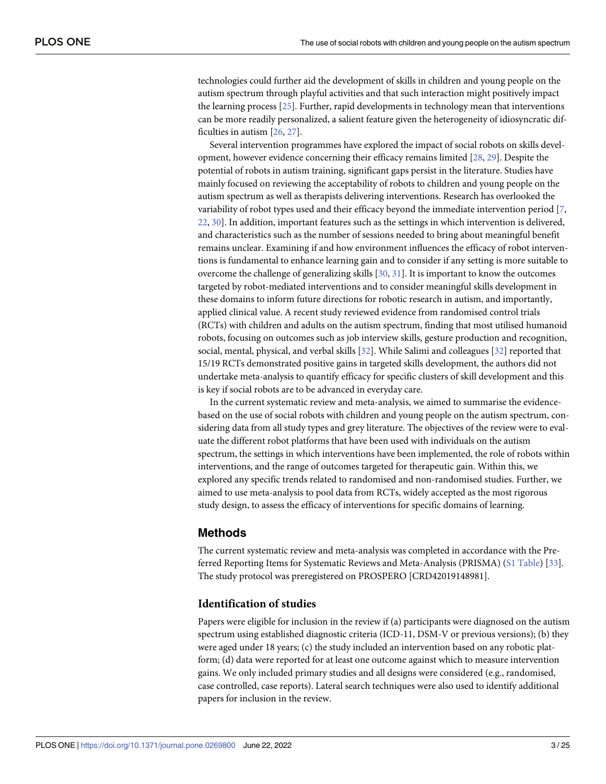<span id="page-2-0"></span>technologies could further aid the development of skills in children and young people on the autism spectrum through playful activities and that such interaction might positively impact the learning process [\[25\]](#page-20-0). Further, rapid developments in technology mean that interventions can be more readily personalized, a salient feature given the heterogeneity of idiosyncratic difficulties in autism [\[26,](#page-20-0) [27\]](#page-20-0).

Several intervention programmes have explored the impact of social robots on skills development, however evidence concerning their efficacy remains limited [\[28,](#page-21-0) [29\]](#page-21-0). Despite the potential of robots in autism training, significant gaps persist in the literature. Studies have mainly focused on reviewing the acceptability of robots to children and young people on the autism spectrum as well as therapists delivering interventions. Research has overlooked the variability of robot types used and their efficacy beyond the immediate intervention period [[7](#page-20-0), [22,](#page-20-0) [30](#page-21-0)]. In addition, important features such as the settings in which intervention is delivered, and characteristics such as the number of sessions needed to bring about meaningful benefit remains unclear. Examining if and how environment influences the efficacy of robot interventions is fundamental to enhance learning gain and to consider if any setting is more suitable to overcome the challenge of generalizing skills [\[30,](#page-21-0) [31\]](#page-21-0). It is important to know the outcomes targeted by robot-mediated interventions and to consider meaningful skills development in these domains to inform future directions for robotic research in autism, and importantly, applied clinical value. A recent study reviewed evidence from randomised control trials (RCTs) with children and adults on the autism spectrum, finding that most utilised humanoid robots, focusing on outcomes such as job interview skills, gesture production and recognition, social, mental, physical, and verbal skills [\[32\]](#page-21-0). While Salimi and colleagues [[32](#page-21-0)] reported that 15/19 RCTs demonstrated positive gains in targeted skills development, the authors did not undertake meta-analysis to quantify efficacy for specific clusters of skill development and this is key if social robots are to be advanced in everyday care.

In the current systematic review and meta-analysis, we aimed to summarise the evidencebased on the use of social robots with children and young people on the autism spectrum, considering data from all study types and grey literature. The objectives of the review were to evaluate the different robot platforms that have been used with individuals on the autism spectrum, the settings in which interventions have been implemented, the role of robots within interventions, and the range of outcomes targeted for therapeutic gain. Within this, we explored any specific trends related to randomised and non-randomised studies. Further, we aimed to use meta-analysis to pool data from RCTs, widely accepted as the most rigorous study design, to assess the efficacy of interventions for specific domains of learning.

#### **Methods**

The current systematic review and meta-analysis was completed in accordance with the Preferred Reporting Items for Systematic Reviews and Meta-Analysis (PRISMA) (S1 [Table\)](#page-19-0) [[33](#page-21-0)]. The study protocol was preregistered on PROSPERO [CRD42019148981].

## **Identification of studies**

Papers were eligible for inclusion in the review if (a) participants were diagnosed on the autism spectrum using established diagnostic criteria (ICD-11, DSM-V or previous versions); (b) they were aged under 18 years; (c) the study included an intervention based on any robotic platform; (d) data were reported for at least one outcome against which to measure intervention gains. We only included primary studies and all designs were considered (e.g., randomised, case controlled, case reports). Lateral search techniques were also used to identify additional papers for inclusion in the review.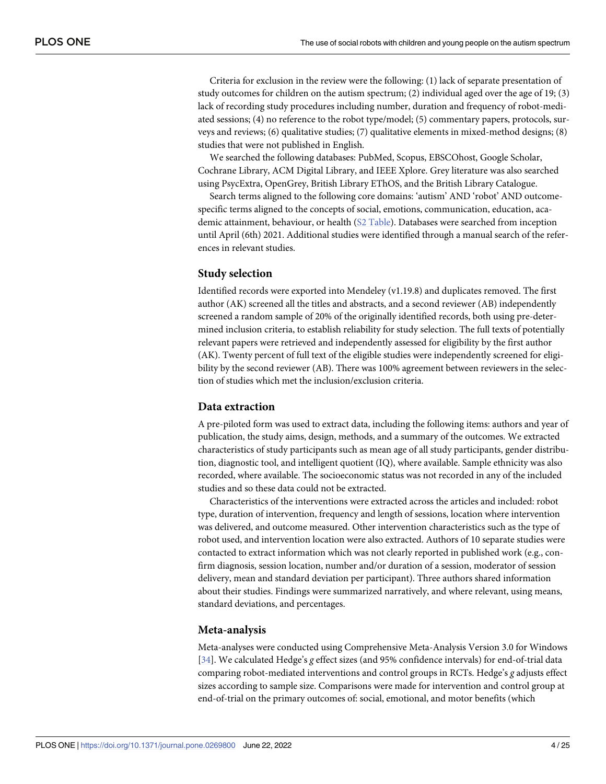<span id="page-3-0"></span>Criteria for exclusion in the review were the following: (1) lack of separate presentation of study outcomes for children on the autism spectrum; (2) individual aged over the age of 19; (3) lack of recording study procedures including number, duration and frequency of robot-mediated sessions; (4) no reference to the robot type/model; (5) commentary papers, protocols, surveys and reviews; (6) qualitative studies; (7) qualitative elements in mixed-method designs; (8) studies that were not published in English.

We searched the following databases: PubMed, Scopus, EBSCOhost, Google Scholar, Cochrane Library, ACM Digital Library, and IEEE Xplore. Grey literature was also searched using PsycExtra, OpenGrey, British Library EThOS, and the British Library Catalogue.

Search terms aligned to the following core domains: 'autism' AND 'robot' AND outcomespecific terms aligned to the concepts of social, emotions, communication, education, academic attainment, behaviour, or health (S2 [Table\)](#page-19-0). Databases were searched from inception until April (6th) 2021. Additional studies were identified through a manual search of the references in relevant studies.

#### **Study selection**

Identified records were exported into Mendeley (v1.19.8) and duplicates removed. The first author (AK) screened all the titles and abstracts, and a second reviewer (AB) independently screened a random sample of 20% of the originally identified records, both using pre-determined inclusion criteria, to establish reliability for study selection. The full texts of potentially relevant papers were retrieved and independently assessed for eligibility by the first author (AK). Twenty percent of full text of the eligible studies were independently screened for eligibility by the second reviewer (AB). There was 100% agreement between reviewers in the selection of studies which met the inclusion/exclusion criteria.

#### **Data extraction**

A pre-piloted form was used to extract data, including the following items: authors and year of publication, the study aims, design, methods, and a summary of the outcomes. We extracted characteristics of study participants such as mean age of all study participants, gender distribution, diagnostic tool, and intelligent quotient (IQ), where available. Sample ethnicity was also recorded, where available. The socioeconomic status was not recorded in any of the included studies and so these data could not be extracted.

Characteristics of the interventions were extracted across the articles and included: robot type, duration of intervention, frequency and length of sessions, location where intervention was delivered, and outcome measured. Other intervention characteristics such as the type of robot used, and intervention location were also extracted. Authors of 10 separate studies were contacted to extract information which was not clearly reported in published work (e.g., confirm diagnosis, session location, number and/or duration of a session, moderator of session delivery, mean and standard deviation per participant). Three authors shared information about their studies. Findings were summarized narratively, and where relevant, using means, standard deviations, and percentages.

#### **Meta-analysis**

Meta-analyses were conducted using Comprehensive Meta-Analysis Version 3.0 for Windows [\[34\]](#page-21-0). We calculated Hedge's *g* effect sizes (and 95% confidence intervals) for end-of-trial data comparing robot-mediated interventions and control groups in RCTs. Hedge's *g* adjusts effect sizes according to sample size. Comparisons were made for intervention and control group at end-of-trial on the primary outcomes of: social, emotional, and motor benefits (which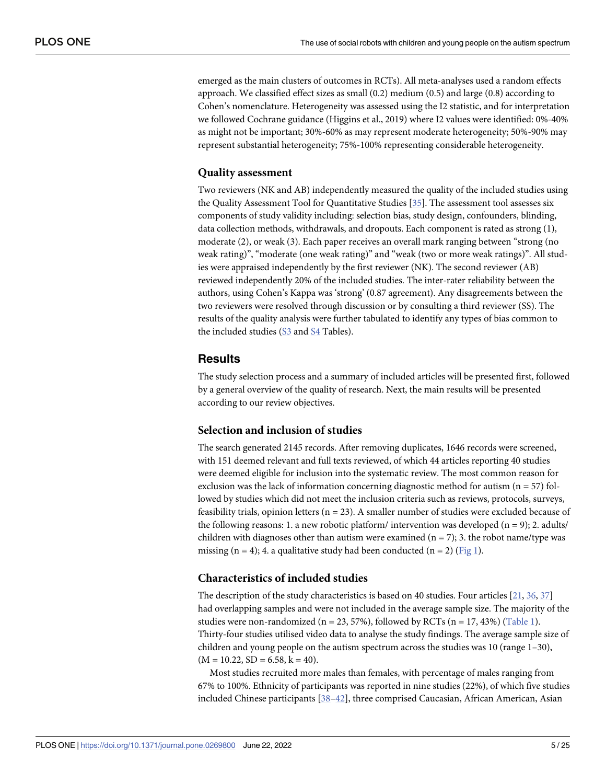<span id="page-4-0"></span>emerged as the main clusters of outcomes in RCTs). All meta-analyses used a random effects approach. We classified effect sizes as small (0.2) medium (0.5) and large (0.8) according to Cohen's nomenclature. Heterogeneity was assessed using the I2 statistic, and for interpretation we followed Cochrane guidance (Higgins et al., 2019) where I2 values were identified: 0%-40% as might not be important; 30%-60% as may represent moderate heterogeneity; 50%-90% may represent substantial heterogeneity; 75%-100% representing considerable heterogeneity.

#### **Quality assessment**

Two reviewers (NK and AB) independently measured the quality of the included studies using the Quality Assessment Tool for Quantitative Studies [[35](#page-21-0)]. The assessment tool assesses six components of study validity including: selection bias, study design, confounders, blinding, data collection methods, withdrawals, and dropouts. Each component is rated as strong (1), moderate (2), or weak (3). Each paper receives an overall mark ranging between "strong (no weak rating)", "moderate (one weak rating)" and "weak (two or more weak ratings)". All studies were appraised independently by the first reviewer (NK). The second reviewer (AB) reviewed independently 20% of the included studies. The inter-rater reliability between the authors, using Cohen's Kappa was 'strong' (0.87 agreement). Any disagreements between the two reviewers were resolved through discussion or by consulting a third reviewer (SS). The results of the quality analysis were further tabulated to identify any types of bias common to the included studies [\(S3](#page-19-0) and [S4](#page-19-0) Tables).

## **Results**

The study selection process and a summary of included articles will be presented first, followed by a general overview of the quality of research. Next, the main results will be presented according to our review objectives.

#### **Selection and inclusion of studies**

The search generated 2145 records. After removing duplicates, 1646 records were screened, with 151 deemed relevant and full texts reviewed, of which 44 articles reporting 40 studies were deemed eligible for inclusion into the systematic review. The most common reason for exclusion was the lack of information concerning diagnostic method for autism  $(n = 57)$  followed by studies which did not meet the inclusion criteria such as reviews, protocols, surveys, feasibility trials, opinion letters ( $n = 23$ ). A smaller number of studies were excluded because of the following reasons: 1. a new robotic platform/ intervention was developed  $(n = 9)$ ; 2. adults/ children with diagnoses other than autism were examined  $(n = 7)$ ; 3. the robot name/type was missing (n = 4); 4. a qualitative study had been conducted (n = 2) ([Fig](#page-5-0) 1).

#### **Characteristics of included studies**

The description of the study characteristics is based on 40 studies. Four articles [\[21,](#page-20-0) [36,](#page-21-0) [37\]](#page-21-0) had overlapping samples and were not included in the average sample size. The majority of the studies were non-randomized (n = 23, 57%), followed by RCTs (n = 17, 43%) [\(Table](#page-6-0) 1). Thirty-four studies utilised video data to analyse the study findings. The average sample size of children and young people on the autism spectrum across the studies was 10 (range 1–30),  $(M = 10.22, SD = 6.58, k = 40).$ 

Most studies recruited more males than females, with percentage of males ranging from 67% to 100%. Ethnicity of participants was reported in nine studies (22%), of which five studies included Chinese participants [\[38–42\]](#page-21-0), three comprised Caucasian, African American, Asian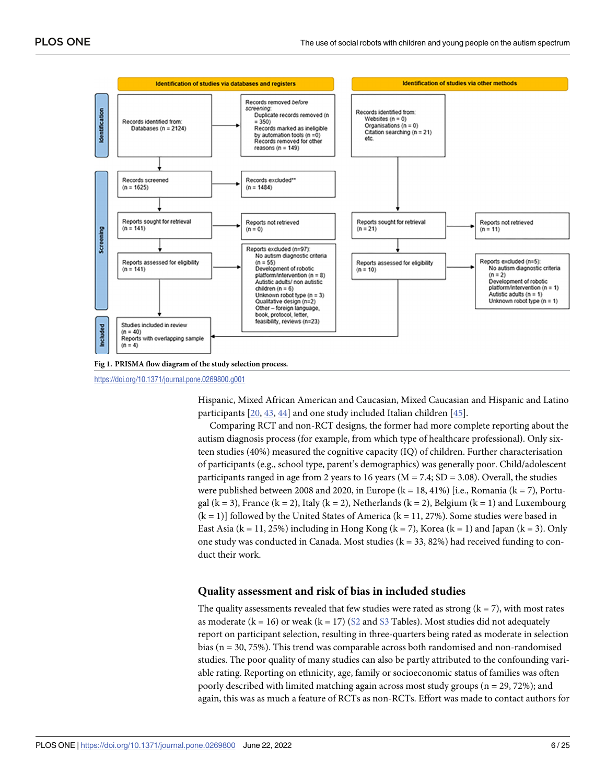<span id="page-5-0"></span>

**[Fig](#page-4-0) 1. PRISMA flow diagram of the study selection process.**

<https://doi.org/10.1371/journal.pone.0269800.g001>

Hispanic, Mixed African American and Caucasian, Mixed Caucasian and Hispanic and Latino participants [[20](#page-20-0), [43](#page-21-0), [44](#page-21-0)] and one study included Italian children [\[45\]](#page-21-0).

Comparing RCT and non-RCT designs, the former had more complete reporting about the autism diagnosis process (for example, from which type of healthcare professional). Only sixteen studies (40%) measured the cognitive capacity (IQ) of children. Further characterisation of participants (e.g., school type, parent's demographics) was generally poor. Child/adolescent participants ranged in age from 2 years to 16 years ( $M = 7.4$ ;  $SD = 3.08$ ). Overall, the studies were published between 2008 and 2020, in Europe ( $k = 18, 41\%$ ) [i.e., Romania ( $k = 7$ ), Portugal (k = 3), France (k = 2), Italy (k = 2), Netherlands (k = 2), Belgium (k = 1) and Luxembourg  $(k = 1)$ ] followed by the United States of America  $(k = 11, 27%)$ . Some studies were based in East Asia ( $k = 11, 25\%$ ) including in Hong Kong ( $k = 7$ ), Korea ( $k = 1$ ) and Japan ( $k = 3$ ). Only one study was conducted in Canada. Most studies  $(k = 33, 82%)$  had received funding to conduct their work.

#### **Quality assessment and risk of bias in included studies**

The quality assessments revealed that few studies were rated as strong  $(k = 7)$ , with most rates as moderate ( $k = 16$ ) or weak ( $k = 17$ ) ([S2](#page-19-0) and [S3](#page-19-0) Tables). Most studies did not adequately report on participant selection, resulting in three-quarters being rated as moderate in selection bias ( $n = 30, 75\%$ ). This trend was comparable across both randomised and non-randomised studies. The poor quality of many studies can also be partly attributed to the confounding variable rating. Reporting on ethnicity, age, family or socioeconomic status of families was often poorly described with limited matching again across most study groups (n = 29, 72%); and again, this was as much a feature of RCTs as non-RCTs. Effort was made to contact authors for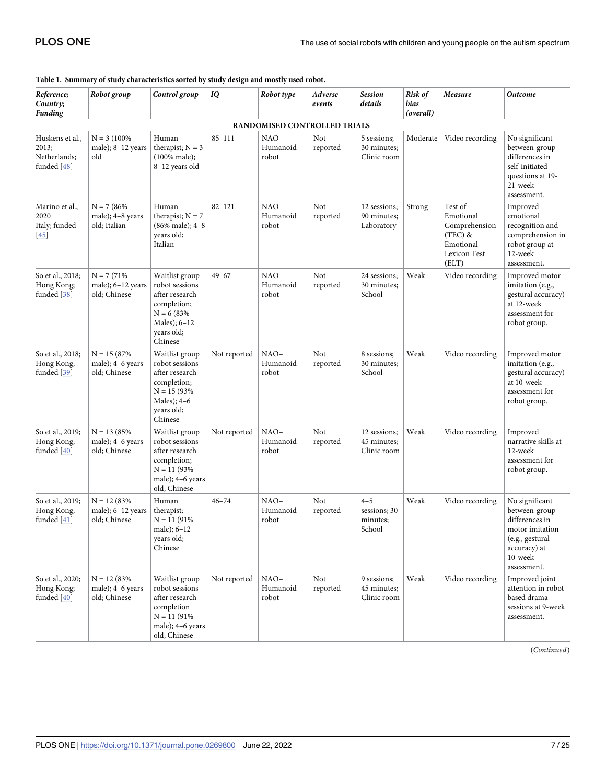| Reference;<br>Country;<br><b>Funding</b>                | Robot group                                           | Control group                                                                                                                 | IQ           | Robot type                   | Adverse<br>events | <b>Session</b><br>details                     | Risk of<br>bias<br>(overall) | Measure                                                                                  | <b>Outcome</b>                                                                                                                    |
|---------------------------------------------------------|-------------------------------------------------------|-------------------------------------------------------------------------------------------------------------------------------|--------------|------------------------------|-------------------|-----------------------------------------------|------------------------------|------------------------------------------------------------------------------------------|-----------------------------------------------------------------------------------------------------------------------------------|
|                                                         |                                                       |                                                                                                                               |              | RANDOMISED CONTROLLED TRIALS |                   |                                               |                              |                                                                                          |                                                                                                                                   |
| Huskens et al.,<br>2013;<br>Netherlands:<br>funded [48] | $N = 3 (100\%$<br>male); 8-12 years<br>old            | Human<br>therapist; $N = 3$<br>$(100\% \text{ male});$<br>8-12 years old                                                      | $85 - 111$   | $NAO-$<br>Humanoid<br>robot  | Not<br>reported   | 5 sessions;<br>30 minutes;<br>Clinic room     | Moderate                     | Video recording                                                                          | No significant<br>between-group<br>differences in<br>self-initiated<br>questions at 19-<br>21-week<br>assessment.                 |
| Marino et al.,<br>2020<br>Italy; funded<br>$\sqrt{45}$  | $N = 7 (86\%$<br>male); 4-8 years<br>old; Italian     | Human<br>therapist; $N = 7$<br>(86% male); 4-8<br>years old;<br>Italian                                                       | $82 - 121$   | $NAO-$<br>Humanoid<br>robot  | Not<br>reported   | 12 sessions;<br>90 minutes;<br>Laboratory     | Strong                       | Test of<br>Emotional<br>Comprehension<br>$(TEC)$ &<br>Emotional<br>Lexicon Test<br>(ELT) | Improved<br>emotional<br>recognition and<br>comprehension in<br>robot group at<br>12-week<br>assessment.                          |
| So et al., 2018;<br>Hong Kong;<br>funded [38]           | $N = 7(71%$<br>male); $6-12$ years<br>old; Chinese    | Waitlist group<br>robot sessions<br>after research<br>completion;<br>$N = 6 (83%$<br>Males); 6-12<br>vears old;<br>Chinese    | $49 - 67$    | $NAO-$<br>Humanoid<br>robot  | Not<br>reported   | 24 sessions;<br>30 minutes;<br>School         | Weak                         | Video recording                                                                          | Improved motor<br>imitation (e.g.,<br>gestural accuracy)<br>at 12-week<br>assessment for<br>robot group.                          |
| So et al., 2018;<br>Hong Kong;<br>funded $[39]$         | $N = 15(87%$<br>male); 4-6 years<br>old; Chinese      | Waitlist group<br>robot sessions<br>after research<br>completion;<br>$N = 15 (93\%$<br>Males); $4-6$<br>years old;<br>Chinese | Not reported | NAO-<br>Humanoid<br>robot    | Not<br>reported   | 8 sessions;<br>30 minutes;<br>School          | Weak                         | Video recording                                                                          | Improved motor<br>imitation (e.g.,<br>gestural accuracy)<br>at 10-week<br>assessment for<br>robot group.                          |
| So et al., 2019;<br>Hong Kong;<br>funded $[40]$         | $N = 13(85%$<br>male); 4-6 years<br>old; Chinese      | Waitlist group<br>robot sessions<br>after research<br>completion;<br>$N = 11 (93\%$<br>male); 4-6 years<br>old; Chinese       | Not reported | $NAO-$<br>Humanoid<br>robot  | Not<br>reported   | 12 sessions;<br>45 minutes;<br>Clinic room    | Weak                         | Video recording                                                                          | Improved<br>narrative skills at<br>12-week<br>assessment for<br>robot group.                                                      |
| So et al., 2019;<br>Hong Kong;<br>funded [41]           | $N = 12 (83\%$<br>male); $6-12$ years<br>old; Chinese | Human<br>therapist;<br>$N = 11(91\%)$<br>male); $6-12$<br>years old;<br>Chinese                                               | $46 - 74$    | $NAO-$<br>Humanoid<br>robot  | Not<br>reported   | $4 - 5$<br>sessions; 30<br>minutes;<br>School | Weak                         | Video recording                                                                          | No significant<br>between-group<br>differences in<br>motor imitation<br>(e.g., gestural<br>accuracy) at<br>10-week<br>assessment. |
| So et al., 2020;<br>Hong Kong;<br>funded [40]           | $N = 12 (83%$<br>male); 4-6 years<br>old; Chinese     | Waitlist group<br>robot sessions<br>after research<br>completion<br>$N = 11 (91\%$<br>male); 4-6 years<br>old; Chinese        | Not reported | $NAO-$<br>Humanoid<br>robot  | Not<br>reported   | 9 sessions;<br>45 minutes;<br>Clinic room     | Weak                         | Video recording                                                                          | Improved joint<br>attention in robot-<br>based drama<br>sessions at 9-week<br>assessment.                                         |

#### <span id="page-6-0"></span>**[Table](#page-14-0) 1. Summary of study characteristics sorted by study design and mostly used robot.**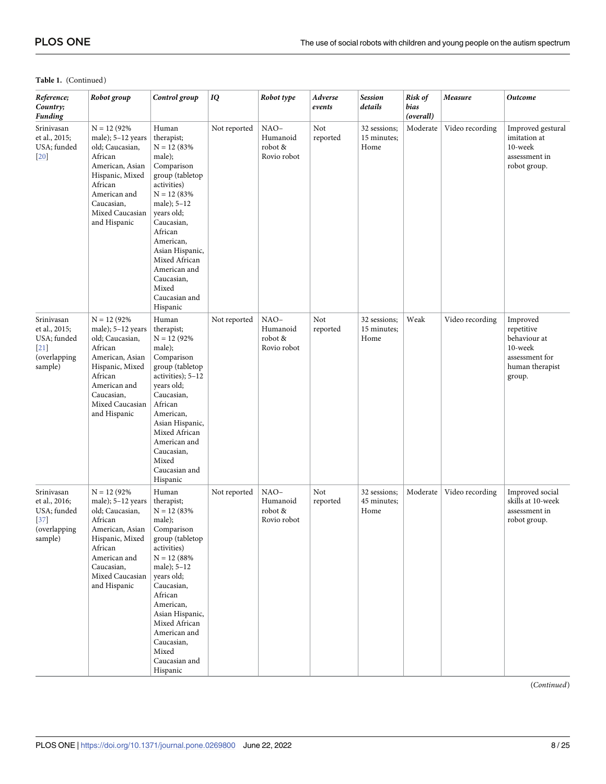<span id="page-7-0"></span>

| Reference;<br>Country;<br>Funding                                               | Robot group                                                                                                                                                                           | Control group                                                                                                                                                                                                                                                                                | IQ           | Robot type                                 | Adverse<br>events | <b>Session</b><br>details           | Risk of<br>bias<br>(overall) | Measure         | Outcome                                                                                          |
|---------------------------------------------------------------------------------|---------------------------------------------------------------------------------------------------------------------------------------------------------------------------------------|----------------------------------------------------------------------------------------------------------------------------------------------------------------------------------------------------------------------------------------------------------------------------------------------|--------------|--------------------------------------------|-------------------|-------------------------------------|------------------------------|-----------------|--------------------------------------------------------------------------------------------------|
| Srinivasan<br>et al., 2015;<br>USA; funded<br>$[20]$                            | $N = 12 (92\%$<br>male); $5-12$ years<br>old; Caucasian,<br>African<br>American, Asian<br>Hispanic, Mixed<br>African<br>American and<br>Caucasian,<br>Mixed Caucasian<br>and Hispanic | Human<br>therapist;<br>$N = 12 (83%$<br>male);<br>Comparison<br>group (tabletop<br>activities)<br>$N = 12 (83%$<br>male); $5-12$<br>years old;<br>Caucasian,<br>African<br>American,<br>Asian Hispanic,<br>Mixed African<br>American and<br>Caucasian,<br>Mixed<br>Caucasian and<br>Hispanic | Not reported | NAO-<br>Humanoid<br>robot &<br>Rovio robot | Not<br>reported   | 32 sessions;<br>15 minutes;<br>Home | Moderate                     | Video recording | Improved gestural<br>imitation at<br>10-week<br>assessment in<br>robot group.                    |
| Srinivasan<br>et al., 2015;<br>USA; funded<br>21<br>(overlapping<br>sample)     | $N = 12 (92\%$<br>male); 5-12 years<br>old; Caucasian,<br>African<br>American, Asian<br>Hispanic, Mixed<br>African<br>American and<br>Caucasian,<br>Mixed Caucasian<br>and Hispanic   | Human<br>therapist;<br>$N = 12 (92\%$<br>male);<br>Comparison<br>group (tabletop<br>activities); 5-12<br>years old;<br>Caucasian,<br>African<br>American,<br>Asian Hispanic,<br>Mixed African<br>American and<br>Caucasian,<br>Mixed<br>Caucasian and<br>Hispanic                            | Not reported | NAO-<br>Humanoid<br>robot &<br>Rovio robot | Not<br>reported   | 32 sessions;<br>15 minutes;<br>Home | Weak                         | Video recording | Improved<br>repetitive<br>behaviour at<br>10-week<br>assessment for<br>human therapist<br>group. |
| Srinivasan<br>et al., 2016;<br>USA; funded<br>$[37]$<br>(overlapping<br>sample) | $N = 12 (92\%$<br>male); $5-12$ years<br>old; Caucasian,<br>African<br>American, Asian<br>Hispanic, Mixed<br>African<br>American and<br>Caucasian,<br>Mixed Caucasian<br>and Hispanic | Human<br>therapist;<br>$N = 12 (83\%$<br>male);<br>Comparison<br>group (tabletop<br>activities)<br>$N = 12 (88%$<br>male); 5-12<br>years old;<br>Caucasian,<br>African<br>American,<br>Asian Hispanic,<br>Mixed African<br>American and<br>Caucasian,<br>Mixed<br>Caucasian and<br>Hispanic  | Not reported | NAO-<br>Humanoid<br>robot &<br>Rovio robot | Not<br>reported   | 32 sessions;<br>45 minutes;<br>Home | Moderate                     | Video recording | Improved social<br>skills at 10-week<br>assessment in<br>robot group.                            |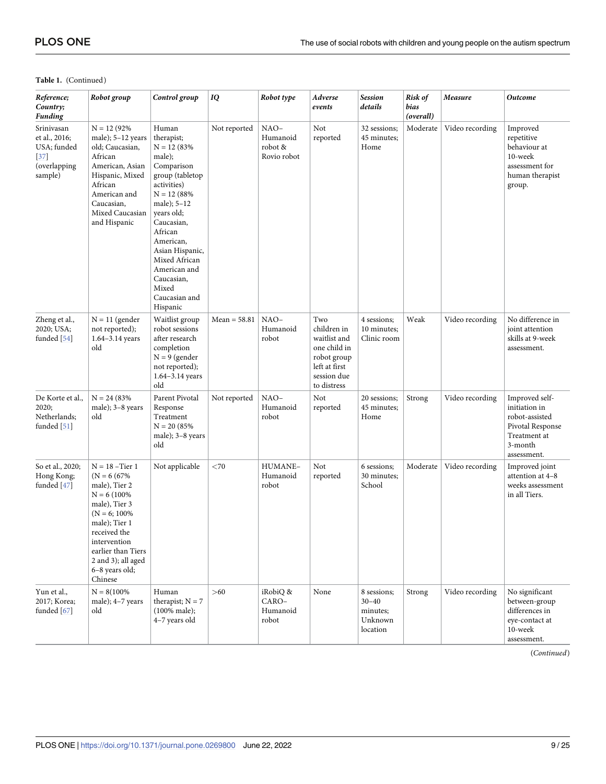<span id="page-8-0"></span>

| Reference;<br>Country;<br>Funding                                               | Robot group                                                                                                                                                                                                                         | Control group                                                                                                                                                                                                                                                                               | IQ             | Robot type                                 | Adverse<br>events                                                                                                | <b>Session</b><br>details                                   | Risk of<br>bias<br>(overall) | Measure         | <b>Outcome</b>                                                                                                  |
|---------------------------------------------------------------------------------|-------------------------------------------------------------------------------------------------------------------------------------------------------------------------------------------------------------------------------------|---------------------------------------------------------------------------------------------------------------------------------------------------------------------------------------------------------------------------------------------------------------------------------------------|----------------|--------------------------------------------|------------------------------------------------------------------------------------------------------------------|-------------------------------------------------------------|------------------------------|-----------------|-----------------------------------------------------------------------------------------------------------------|
| Srinivasan<br>et al., 2016;<br>USA; funded<br>$[37]$<br>(overlapping<br>sample) | $N = 12 (92\%$<br>male); $5-12$ years<br>old; Caucasian,<br>African<br>American, Asian<br>Hispanic, Mixed<br>African<br>American and<br>Caucasian,<br>Mixed Caucasian<br>and Hispanic                                               | Human<br>therapist;<br>$N = 12 (83\%$<br>male);<br>Comparison<br>group (tabletop<br>activities)<br>$N = 12 (88%$<br>male); 5-12<br>years old;<br>Caucasian,<br>African<br>American,<br>Asian Hispanic,<br>Mixed African<br>American and<br>Caucasian,<br>Mixed<br>Caucasian and<br>Hispanic | Not reported   | NAO-<br>Humanoid<br>robot &<br>Rovio robot | Not<br>reported                                                                                                  | 32 sessions;<br>45 minutes;<br>Home                         | Moderate                     | Video recording | Improved<br>repetitive<br>behaviour at<br>10-week<br>assessment for<br>human therapist<br>group.                |
| Zheng et al.,<br>2020; USA;<br>funded [54]                                      | $N = 11$ (gender<br>not reported);<br>1.64-3.14 years<br>old                                                                                                                                                                        | Waitlist group<br>robot sessions<br>after research<br>completion<br>$N = 9$ (gender<br>not reported);<br>$1.64 - 3.14$ years<br>old                                                                                                                                                         | $Mean = 58.81$ | NAO-<br>Humanoid<br>robot                  | Two<br>children in<br>waitlist and<br>one child in<br>robot group<br>left at first<br>session due<br>to distress | 4 sessions;<br>10 minutes;<br>Clinic room                   | Weak                         | Video recording | No difference in<br>joint attention<br>skills at 9-week<br>assessment.                                          |
| De Korte et al.,<br>2020;<br>Netherlands;<br>funded [51]                        | $N = 24 (83%$<br>male); 3-8 years<br>old                                                                                                                                                                                            | Parent Pivotal<br>Response<br>Treatment<br>$N = 20 (85\%$<br>male); 3-8 years<br>old                                                                                                                                                                                                        | Not reported   | $NAO-$<br>Humanoid<br>robot                | Not<br>reported                                                                                                  | 20 sessions;<br>45 minutes;<br>Home                         | Strong                       | Video recording | Improved self-<br>initiation in<br>robot-assisted<br>Pivotal Response<br>Treatment at<br>3-month<br>assessment. |
| So et al., 2020;<br>Hong Kong;<br>funded [47]                                   | $N = 18$ -Tier 1<br>$(N = 6 (67%)$<br>male), Tier 2<br>$N = 6(100\%$<br>male), Tier 3<br>$(N = 6; 100\%)$<br>male); Tier 1<br>received the<br>intervention<br>earlier than Tiers<br>2 and 3); all aged<br>6-8 years old;<br>Chinese | Not applicable                                                                                                                                                                                                                                                                              | $<$ 70         | HUMANE-<br>Humanoid<br>robot               | Not<br>reported                                                                                                  | 6 sessions;<br>30 minutes:<br>School                        | Moderate                     | Video recording | Improved joint<br>attention at 4-8<br>weeks assessment<br>in all Tiers.                                         |
| Yun et al.,<br>2017; Korea;<br>funded $[67]$                                    | $N = 8(100\%$<br>male); 4-7 years<br>old                                                                                                                                                                                            | Human<br>therapist; $N = 7$<br>(100% male);<br>4-7 years old                                                                                                                                                                                                                                | >60            | iRobiQ &<br>CARO-<br>Humanoid<br>robot     | None                                                                                                             | 8 sessions;<br>$30 - 40$<br>minutes;<br>Unknown<br>location | Strong                       | Video recording | No significant<br>between-group<br>differences in<br>eye-contact at<br>10-week<br>assessment.                   |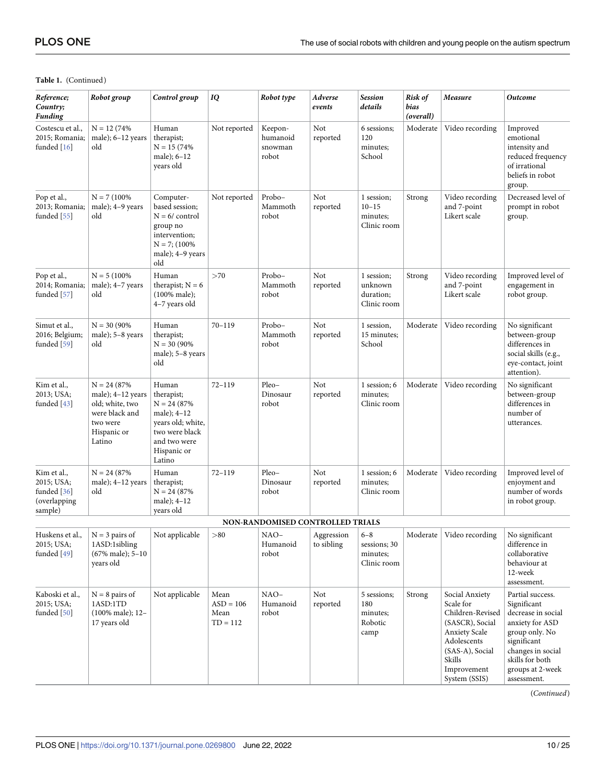<span id="page-9-0"></span>

| Reference;<br>Country;<br><b>Funding</b>                              | Robot group                                                                                                   | Control group                                                                                                                        | IQ                                        | Robot type                              | Adverse<br>events        | <b>Session</b><br>details                                  | Risk of<br>bias<br>(overall) | Measure                                                                                                                                                                | <b>Outcome</b>                                                                                                                                                                       |
|-----------------------------------------------------------------------|---------------------------------------------------------------------------------------------------------------|--------------------------------------------------------------------------------------------------------------------------------------|-------------------------------------------|-----------------------------------------|--------------------------|------------------------------------------------------------|------------------------------|------------------------------------------------------------------------------------------------------------------------------------------------------------------------|--------------------------------------------------------------------------------------------------------------------------------------------------------------------------------------|
| Costescu et al.,<br>2015; Romania;<br>funded [16]                     | $N = 12(74%$<br>male); $6-12$ years<br>old                                                                    | Human<br>therapist;<br>$N = 15(74%$<br>male); $6-12$<br>years old                                                                    | Not reported                              | Keepon-<br>humanoid<br>snowman<br>robot | Not<br>reported          | 6 sessions;<br>120<br>minutes;<br>School                   | Moderate                     | Video recording                                                                                                                                                        | Improved<br>emotional<br>intensity and<br>reduced frequency<br>of irrational<br>beliefs in robot<br>group.                                                                           |
| Pop et al.,<br>2013; Romania;<br>funded $[55]$                        | $N = 7(100\%$<br>male); $4-9$ years<br>old                                                                    | Computer-<br>based session;<br>$N = 6/$ control<br>group no<br>intervention;<br>$N = 7$ ; (100%)<br>male); $4-9$ years<br>old        | Not reported                              | Probo-<br>Mammoth<br>robot              | Not<br>reported          | 1 session;<br>$10 - 15$<br>minutes;<br>Clinic room         | Strong                       | Video recording<br>and 7-point<br>Likert scale                                                                                                                         | Decreased level of<br>prompt in robot<br>group.                                                                                                                                      |
| Pop et al.,<br>2014; Romania;<br>funded [57]                          | $N = 5(100\%)$<br>male); 4-7 years<br>old                                                                     | Human<br>therapist; $N = 6$<br>(100% male);<br>4-7 years old                                                                         | >70                                       | Probo-<br>Mammoth<br>robot              | Not<br>reported          | 1 session;<br>unknown<br>duration;<br>Clinic room          | Strong                       | Video recording<br>and 7-point<br>Likert scale                                                                                                                         | Improved level of<br>engagement in<br>robot group.                                                                                                                                   |
| Simut et al.,<br>2016; Belgium;<br>funded [59]                        | $N = 30 (90\%$<br>male); 5-8 years<br>old                                                                     | Human<br>therapist;<br>$N = 30 (90\%$<br>male); 5-8 years<br>old                                                                     | $70 - 119$                                | Probo-<br>Mammoth<br>robot              | Not<br>reported          | 1 session,<br>15 minutes;<br>School                        | Moderate                     | Video recording                                                                                                                                                        | No significant<br>between-group<br>differences in<br>social skills (e.g.,<br>eye-contact, joint<br>attention).                                                                       |
| Kim et al.,<br>2013; USA;<br>funded $[43]$                            | $N = 24 (87\%$<br>male); 4-12 years<br>old; white, two<br>were black and<br>two were<br>Hispanic or<br>Latino | Human<br>therapist;<br>$N = 24 (87%)$<br>male); 4-12<br>years old; white,<br>two were black<br>and two were<br>Hispanic or<br>Latino | $72 - 119$                                | Pleo-<br>Dinosaur<br>robot              | Not<br>reported          | 1 session; 6<br>minutes;<br>Clinic room                    | Moderate                     | Video recording                                                                                                                                                        | No significant<br>between-group<br>differences in<br>number of<br>utterances.                                                                                                        |
| Kim et al.,<br>2015; USA;<br>funded $[36]$<br>(overlapping<br>sample) | $N = 24 (87\%$<br>male); $4-12$ years<br>old                                                                  | Human<br>therapist;<br>$N = 24 (87%)$<br>male); $4-12$<br>years old                                                                  | $72 - 119$                                | Pleo-<br>Dinosaur<br>robot              | Not<br>reported          | 1 session; 6<br>minutes;<br>Clinic room                    | Moderate                     | Video recording                                                                                                                                                        | Improved level of<br>enjoyment and<br>number of words<br>in robot group.                                                                                                             |
|                                                                       |                                                                                                               |                                                                                                                                      |                                           | NON-RANDOMISED CONTROLLED TRIALS        |                          |                                                            |                              |                                                                                                                                                                        |                                                                                                                                                                                      |
| Huskens et al.,<br>2015; USA;<br>funded [49]                          | $N = 3$ pairs of<br>1ASD:1sibling<br>(67% male); 5-10<br>years old                                            | Not applicable                                                                                                                       | > 80                                      | NAO-<br>Humanoid<br>robot               | Aggression<br>to sibling | $6 - 8$<br>sessions; 30<br>minutes;<br>Clinic room         |                              | Moderate   Video recording                                                                                                                                             | No significant<br>difference in<br>collaborative<br>behaviour at<br>12-week<br>assessment.                                                                                           |
| Kaboski et al.,<br>2015; USA;<br>funded [50]                          | $N = 8$ pairs of<br>1ASD:1TD<br>(100% male); 12-<br>17 years old                                              | Not applicable                                                                                                                       | Mean<br>$ASD = 106$<br>Mean<br>$TD = 112$ | $NAO-$<br>Humanoid<br>robot             | Not<br>reported          | 5 sessions;<br>180<br>minutes;<br>Robotic<br>$\text{camp}$ | Strong                       | Social Anxiety<br>Scale for<br>Children-Revised<br>(SASCR), Social<br><b>Anxiety Scale</b><br>Adolescents<br>(SAS-A), Social<br>Skills<br>Improvement<br>System (SSIS) | Partial success.<br>Significant<br>decrease in social<br>anxiety for ASD<br>group only. No<br>significant<br>changes in social<br>skills for both<br>groups at 2-week<br>assessment. |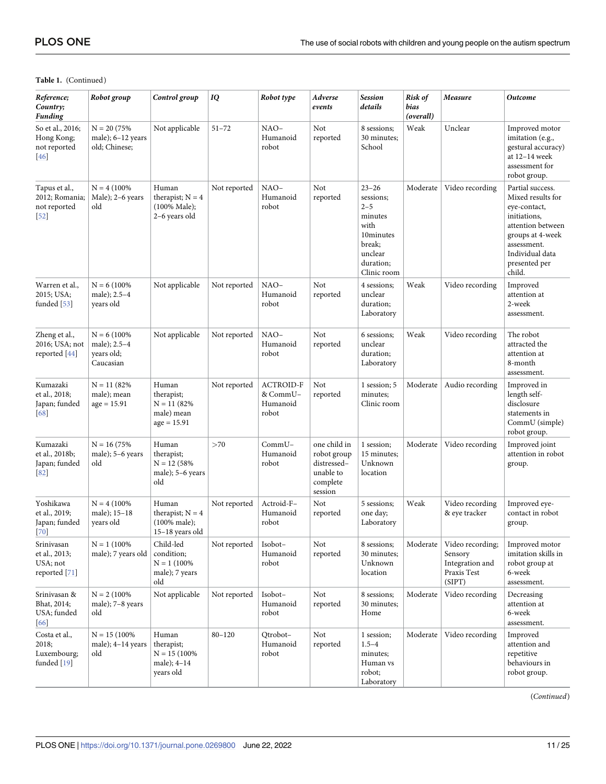<span id="page-10-0"></span>

| Reference;<br>Country;<br><b>Funding</b>                  | Robot group                                               | Control group                                                             | IQ           | Robot type                                        | Adverse<br>events                                                              | <b>Session</b><br>details                                                                                          | Risk of<br>bias<br>(overall) | Measure                                                                 | <b>Outcome</b>                                                                                                                                                              |
|-----------------------------------------------------------|-----------------------------------------------------------|---------------------------------------------------------------------------|--------------|---------------------------------------------------|--------------------------------------------------------------------------------|--------------------------------------------------------------------------------------------------------------------|------------------------------|-------------------------------------------------------------------------|-----------------------------------------------------------------------------------------------------------------------------------------------------------------------------|
| So et al., 2016;<br>Hong Kong;<br>not reported<br>46      | $N = 20 (75%)$<br>male); $6-12$ years<br>old; Chinese;    | Not applicable                                                            | $51 - 72$    | $NAO-$<br>Humanoid<br>robot                       | Not<br>reported                                                                | 8 sessions;<br>30 minutes;<br>School                                                                               | Weak                         | Unclear                                                                 | Improved motor<br>imitation (e.g.,<br>gestural accuracy)<br>at 12-14 week<br>assessment for<br>robot group.                                                                 |
| Tapus et al.,<br>2012; Romania;<br>not reported<br>$[52]$ | $N = 4(100\%$<br>Male); 2-6 years<br>old                  | Human<br>therapist; $N = 4$<br>$(100\% \text{ Male});$<br>2-6 years old   | Not reported | NAO-<br>Humanoid<br>robot                         | Not<br>reported                                                                | $23 - 26$<br>sessions;<br>$2 - 5$<br>minutes<br>with<br>10minutes<br>break;<br>unclear<br>duration;<br>Clinic room | Moderate                     | Video recording                                                         | Partial success.<br>Mixed results for<br>eye-contact,<br>initiations,<br>attention between<br>groups at 4-week<br>assessment.<br>Individual data<br>presented per<br>child. |
| Warren et al.,<br>2015; USA;<br>funded [53]               | $N = 6(100\%)$<br>male); 2.5-4<br>years old               | Not applicable                                                            | Not reported | NAO-<br>Humanoid<br>robot                         | Not<br>reported                                                                | 4 sessions:<br>unclear<br>duration;<br>Laboratory                                                                  | Weak                         | Video recording                                                         | Improved<br>attention at<br>2-week<br>assessment.                                                                                                                           |
| Zheng et al.,<br>2016; USA; not<br>reported $[44]$        | $N = 6(100\%)$<br>male); 2.5-4<br>years old;<br>Caucasian | Not applicable                                                            | Not reported | NAO-<br>Humanoid<br>robot                         | Not<br>reported                                                                | 6 sessions:<br>unclear<br>duration;<br>Laboratory                                                                  | Weak                         | Video recording                                                         | The robot<br>attracted the<br>attention at<br>8-month<br>assessment.                                                                                                        |
| Kumazaki<br>et al., 2018;<br>Japan; funded<br>68          | $N = 11(82%$<br>male); mean<br>$age = 15.91$              | Human<br>therapist;<br>$N = 11(82%$<br>male) mean<br>$age = 15.91$        | Not reported | <b>ACTROID-F</b><br>& CommU-<br>Humanoid<br>robot | Not<br>reported                                                                | 1 session; 5<br>minutes;<br>Clinic room                                                                            | Moderate                     | Audio recording                                                         | Improved in<br>length self-<br>disclosure<br>statements in<br>CommU (simple)<br>robot group.                                                                                |
| Kumazaki<br>et al., 2018b;<br>Japan; funded<br>[82]       | $N = 16(75%$<br>male); 5-6 years<br>old                   | Human<br>therapist;<br>$N = 12 (58\%$<br>male); 5-6 years<br>old          | >70          | $CommU-$<br>Humanoid<br>robot                     | one child in<br>robot group<br>distressed-<br>unable to<br>complete<br>session | 1 session;<br>15 minutes;<br>Unknown<br>location                                                                   | Moderate                     | Video recording                                                         | Improved joint<br>attention in robot<br>group.                                                                                                                              |
| Yoshikawa<br>et al., 2019;<br>Japan; funded<br>$[70]$     | $N = 4(100\%$<br>male); 15-18<br>years old                | Human<br>therapist; $N = 4$<br>$(100\% \text{ male});$<br>15-18 years old | Not reported | Actroid-F-<br>Humanoid<br>robot                   | Not<br>reported                                                                | 5 sessions;<br>one day;<br>Laboratory                                                                              | Weak                         | Video recording<br>& eye tracker                                        | Improved eye-<br>contact in robot<br>group.                                                                                                                                 |
| Srinivasan<br>et al., 2013;<br>USA; not<br>reported [71]  | $N = 1 (100\%$<br>male); 7 years old                      | Child-led<br>condition;<br>$N = 1 (100\%$<br>male); 7 years<br>old        | Not reported | Isobot-<br>Humanoid<br>robot                      | Not<br>reported                                                                | 8 sessions;<br>30 minutes;<br>Unknown<br>location                                                                  | Moderate                     | Video recording;<br>Sensory<br>Integration and<br>Praxis Test<br>(SIPT) | Improved motor<br>imitation skills in<br>robot group at<br>6-week<br>assessment.                                                                                            |
| Srinivasan &<br>Bhat, 2014;<br>USA; funded<br>66          | $N = 2 (100\%$<br>male); 7-8 years<br>old                 | Not applicable                                                            | Not reported | Isobot-<br>Humanoid<br>robot                      | Not<br>reported                                                                | 8 sessions;<br>30 minutes;<br>Home                                                                                 | Moderate                     | Video recording                                                         | Decreasing<br>attention at<br>6-week<br>assessment.                                                                                                                         |
| Costa et al.,<br>2018;<br>Luxembourg;<br>funded [19]      | $N = 15(100\%$<br>male); 4-14 years<br>old                | Human<br>therapist;<br>$N = 15(100\%)$<br>male); 4-14<br>years old        | $80 - 120$   | Qtrobot-<br>Humanoid<br>robot                     | Not<br>reported                                                                | 1 session;<br>$1.5 - 4$<br>minutes;<br>Human vs<br>robot;<br>Laboratory                                            | Moderate                     | Video recording                                                         | Improved<br>attention and<br>repetitive<br>behaviours in<br>robot group.                                                                                                    |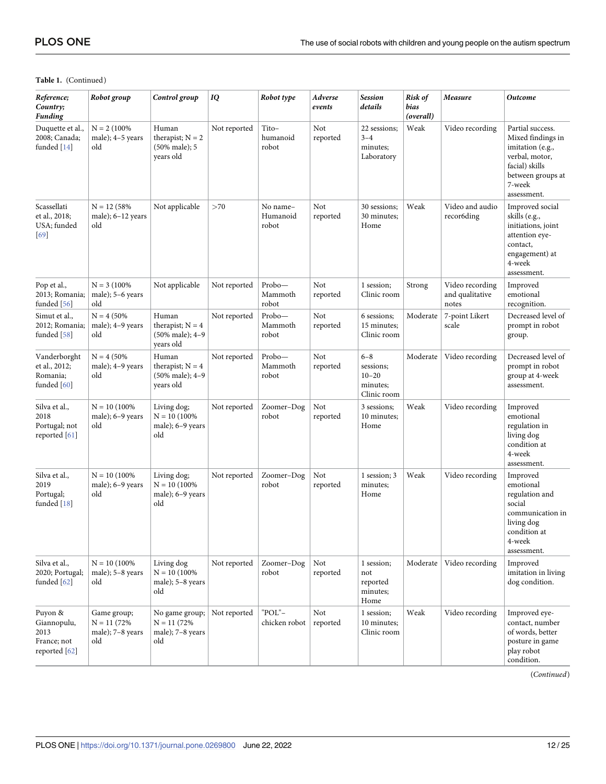<span id="page-11-0"></span>

| Reference;<br>Country;<br>Funding                              | Robot group                                            | Control group                                               | IQ           | Robot type                    | Adverse<br>events | <b>Session</b><br>details                                    | Risk of<br>bias<br>(overall) | Measure                                     | <b>Outcome</b>                                                                                                                              |
|----------------------------------------------------------------|--------------------------------------------------------|-------------------------------------------------------------|--------------|-------------------------------|-------------------|--------------------------------------------------------------|------------------------------|---------------------------------------------|---------------------------------------------------------------------------------------------------------------------------------------------|
| Duquette et al.,<br>2008; Canada;<br>funded [14]               | $N = 2 (100\%$<br>male); 4-5 years<br>old              | Human<br>therapist; $N = 2$<br>(50% male); 5<br>years old   | Not reported | Tito-<br>humanoid<br>robot    | Not<br>reported   | 22 sessions;<br>$3 - 4$<br>minutes;<br>Laboratory            | Weak                         | Video recording                             | Partial success.<br>Mixed findings in<br>imitation (e.g.,<br>verbal, motor,<br>facial) skills<br>between groups at<br>7-week<br>assessment. |
| Scassellati<br>et al., 2018;<br>USA; funded<br>69              | $N = 12 (58\%$<br>male); $6-12$ years<br>old           | Not applicable                                              | >70          | No name-<br>Humanoid<br>robot | Not<br>reported   | 30 sessions;<br>30 minutes:<br>Home                          | Weak                         | Video and audio<br>recor6ding               | Improved social<br>skills (e.g.,<br>initiations, joint<br>attention eye-<br>contact,<br>engagement) at<br>4-week<br>assessment.             |
| Pop et al.,<br>2013; Romania;<br>funded $[56]$                 | $N = 3 (100\%$<br>male); 5–6 years<br>old              | Not applicable                                              | Not reported | Probo-<br>Mammoth<br>robot    | Not<br>reported   | 1 session;<br>Clinic room                                    | Strong                       | Video recording<br>and qualitative<br>notes | Improved<br>emotional<br>recognition.                                                                                                       |
| Simut et al.,<br>2012; Romania;<br>funded [58]                 | $N = 4 (50\%$<br>male); 4-9 years<br>old               | Human<br>therapist; $N = 4$<br>(50% male); 4-9<br>years old | Not reported | Probo-<br>Mammoth<br>robot    | Not<br>reported   | 6 sessions;<br>15 minutes;<br>Clinic room                    | Moderate                     | 7-point Likert<br>scale                     | Decreased level of<br>prompt in robot<br>group.                                                                                             |
| Vanderborght<br>et al., 2012;<br>Romania;<br>funded [60]       | $N = 4 (50\%$<br>male); 4-9 years<br>old               | Human<br>therapist; $N = 4$<br>(50% male); 4-9<br>years old | Not reported | Probo-<br>Mammoth<br>robot    | Not<br>reported   | $6 - 8$<br>sessions;<br>$10 - 20$<br>minutes;<br>Clinic room | Moderate                     | Video recording                             | Decreased level of<br>prompt in robot<br>group at 4-week<br>assessment.                                                                     |
| Silva et al.,<br>2018<br>Portugal; not<br>reported [61]        | $N = 10(100\%$<br>male); 6-9 years<br>old              | Living dog;<br>$N = 10(100\%$<br>male); 6-9 years<br>old    | Not reported | Zoomer-Dog<br>robot           | Not<br>reported   | 3 sessions;<br>10 minutes;<br>Home                           | Weak                         | Video recording                             | Improved<br>emotional<br>regulation in<br>living dog<br>condition at<br>4-week<br>assessment.                                               |
| Silva et al.,<br>2019<br>Portugal;<br>funded [18]              | $N = 10(100\%$<br>male); 6-9 years<br>old              | Living dog;<br>$N = 10(100\%$<br>male); 6-9 years<br>old    | Not reported | Zoomer-Dog<br>robot           | Not<br>reported   | 1 session; 3<br>minutes;<br>Home                             | Weak                         | Video recording                             | Improved<br>emotional<br>regulation and<br>social<br>communication in<br>living dog<br>condition at<br>4-week<br>assessment.                |
| Silva et al.,<br>2020; Portugal;<br>funded $[62]$              | $N = 10(100\%$<br>male); 5-8 years<br>old              | Living dog<br>$N = 10(100\%$<br>male); 5-8 years<br>old     | Not reported | Zoomer-Dog<br>robot           | Not<br>reported   | 1 session;<br>not<br>reported<br>minutes;<br>Home            | Moderate                     | Video recording                             | Improved<br>imitation in living<br>dog condition.                                                                                           |
| Puyon &<br>Giannopulu,<br>2013<br>France; not<br>reported [62] | Game group;<br>$N = 11(72%$<br>male); 7-8 years<br>old | No game group;<br>$N = 11(72%$<br>male); 7-8 years<br>old   | Not reported | "POL"-<br>chicken robot       | Not<br>reported   | 1 session;<br>10 minutes;<br>Clinic room                     | Weak                         | Video recording                             | Improved eye-<br>contact, number<br>of words, better<br>posture in game<br>play robot<br>condition.                                         |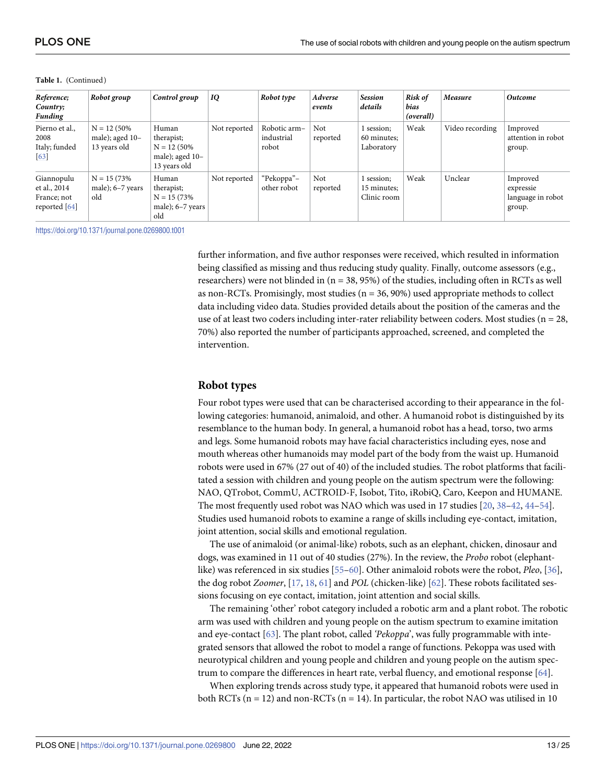<span id="page-12-0"></span>

| Reference;<br>Country;<br><b>Funding</b>                     | Robot group                                       | Control group                                                            | IQ           | Robot type                          | Adverse<br>events | <b>Session</b><br>details                | Risk of<br>bias<br>(overall) | Measure         | <b>Outcome</b>                                       |
|--------------------------------------------------------------|---------------------------------------------------|--------------------------------------------------------------------------|--------------|-------------------------------------|-------------------|------------------------------------------|------------------------------|-----------------|------------------------------------------------------|
| Pierno et al.,<br>2008<br>Italy; funded<br>[63]              | $N = 12 (50\%$<br>male); aged 10-<br>13 years old | Human<br>therapist;<br>$N = 12 (50\%$<br>male); aged 10-<br>13 years old | Not reported | Robotic arm-<br>industrial<br>robot | Not<br>reported   | 1 session;<br>60 minutes;<br>Laboratory  | Weak                         | Video recording | Improved<br>attention in robot<br>group.             |
| Giannopulu<br>et al., 2014<br>France; not<br>reported $[64]$ | $N = 15(73%$<br>male); $6-7$ years<br>old         | Human<br>therapist;<br>$N = 15(73%$<br>male); $6-7$ years<br>old         | Not reported | "Pekoppa"-<br>other robot           | Not<br>reported   | 1 session;<br>15 minutes;<br>Clinic room | Weak                         | Unclear         | Improved<br>expressie<br>language in robot<br>group. |

<https://doi.org/10.1371/journal.pone.0269800.t001>

further information, and five author responses were received, which resulted in information being classified as missing and thus reducing study quality. Finally, outcome assessors (e.g., researchers) were not blinded in  $(n = 38, 95%)$  of the studies, including often in RCTs as well as non-RCTs. Promisingly, most studies  $(n = 36, 90\%)$  used appropriate methods to collect data including video data. Studies provided details about the position of the cameras and the use of at least two coders including inter-rater reliability between coders. Most studies (n = 28, 70%) also reported the number of participants approached, screened, and completed the intervention.

#### **Robot types**

Four robot types were used that can be characterised according to their appearance in the following categories: humanoid, animaloid, and other. A humanoid robot is distinguished by its resemblance to the human body. In general, a humanoid robot has a head, torso, two arms and legs. Some humanoid robots may have facial characteristics including eyes, nose and mouth whereas other humanoids may model part of the body from the waist up. Humanoid robots were used in 67% (27 out of 40) of the included studies. The robot platforms that facilitated a session with children and young people on the autism spectrum were the following: NAO, QTrobot, CommU, ACTROID-F, Isobot, Tito, iRobiQ, Caro, Keepon and HUMANE. The most frequently used robot was NAO which was used in 17 studies [[20](#page-20-0), [38](#page-21-0)–[42](#page-21-0), [44](#page-21-0)[–54\]](#page-22-0). Studies used humanoid robots to examine a range of skills including eye-contact, imitation, joint attention, social skills and emotional regulation.

The use of animaloid (or animal-like) robots, such as an elephant, chicken, dinosaur and dogs, was examined in 11 out of 40 studies (27%). In the review, the *Probo* robot (elephantlike) was referenced in six studies [\[55–60](#page-22-0)]. Other animaloid robots were the robot, *Pleo*, [\[36\]](#page-21-0), the dog robot *Zoomer*, [\[17,](#page-20-0) [18,](#page-20-0) [61\]](#page-22-0) and *POL* (chicken-like) [\[62\]](#page-22-0). These robots facilitated sessions focusing on eye contact, imitation, joint attention and social skills.

The remaining 'other' robot category included a robotic arm and a plant robot. The robotic arm was used with children and young people on the autism spectrum to examine imitation and eye-contact [[63](#page-23-0)]. The plant robot, called *'Pekoppa*', was fully programmable with integrated sensors that allowed the robot to model a range of functions. Pekoppa was used with neurotypical children and young people and children and young people on the autism spectrum to compare the differences in heart rate, verbal fluency, and emotional response [[64](#page-23-0)].

When exploring trends across study type, it appeared that humanoid robots were used in both RCTs ( $n = 12$ ) and non-RCTs ( $n = 14$ ). In particular, the robot NAO was utilised in 10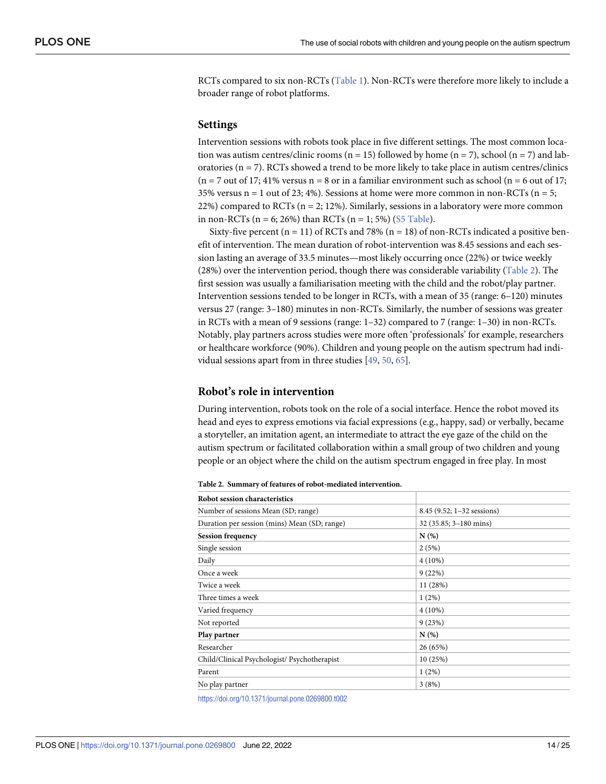<span id="page-13-0"></span>RCTs compared to six non-RCTs [\(Table](#page-6-0) 1). Non-RCTs were therefore more likely to include a broader range of robot platforms.

#### **Settings**

Intervention sessions with robots took place in five different settings. The most common location was autism centres/clinic rooms (n = 15) followed by home (n = 7), school (n = 7) and laboratories ( $n = 7$ ). RCTs showed a trend to be more likely to take place in autism centres/clinics  $(n = 7$  out of 17; 41% versus  $n = 8$  or in a familiar environment such as school  $(n = 6$  out of 17; 35% versus  $n = 1$  out of 23; 4%). Sessions at home were more common in non-RCTs ( $n = 5$ ; 22%) compared to RCTs ( $n = 2$ ; 12%). Similarly, sessions in a laboratory were more common in non-RCTs ( $n = 6$ ; 26%) than RCTs ( $n = 1$ ; 5%) (S5 [Table](#page-19-0)).

Sixty-five percent ( $n = 11$ ) of RCTs and 78% ( $n = 18$ ) of non-RCTs indicated a positive benefit of intervention. The mean duration of robot-intervention was 8.45 sessions and each session lasting an average of 33.5 minutes—most likely occurring once (22%) or twice weekly (28%) over the intervention period, though there was considerable variability (Table 2). The first session was usually a familiarisation meeting with the child and the robot/play partner. Intervention sessions tended to be longer in RCTs, with a mean of 35 (range: 6–120) minutes versus 27 (range: 3–180) minutes in non-RCTs. Similarly, the number of sessions was greater in RCTs with a mean of 9 sessions (range: 1–32) compared to 7 (range: 1–30) in non-RCTs. Notably, play partners across studies were more often 'professionals' for example, researchers or healthcare workforce (90%). Children and young people on the autism spectrum had individual sessions apart from in three studies [[49](#page-22-0), [50](#page-22-0), [65](#page-23-0)].

#### **Robot's role in intervention**

During intervention, robots took on the role of a social interface. Hence the robot moved its head and eyes to express emotions via facial expressions (e.g., happy, sad) or verbally, became a storyteller, an imitation agent, an intermediate to attract the eye gaze of the child on the autism spectrum or facilitated collaboration within a small group of two children and young people or an object where the child on the autism spectrum engaged in free play. In most

| <b>Robot session characteristics</b>         |                            |
|----------------------------------------------|----------------------------|
| Number of sessions Mean (SD; range)          | 8.45 (9.52; 1-32 sessions) |
| Duration per session (mins) Mean (SD; range) | 32 (35.85; 3-180 mins)     |
| <b>Session frequency</b>                     | N(%)                       |
| Single session                               | 2(5%)                      |
| Daily                                        | $4(10\%)$                  |
| Once a week                                  | 9(22%)                     |
| Twice a week                                 | 11(28%)                    |
| Three times a week                           | $1(2\%)$                   |
| Varied frequency                             | $4(10\%)$                  |
| Not reported                                 | 9(23%)                     |
| Play partner                                 | N(%)                       |
| Researcher                                   | 26 (65%)                   |
| Child/Clinical Psychologist/ Psychotherapist | 10(25%)                    |
| Parent                                       | 1(2%)                      |
| No play partner                              | 3(8%)                      |

**Table 2. Summary of features of robot-mediated intervention.**

<https://doi.org/10.1371/journal.pone.0269800.t002>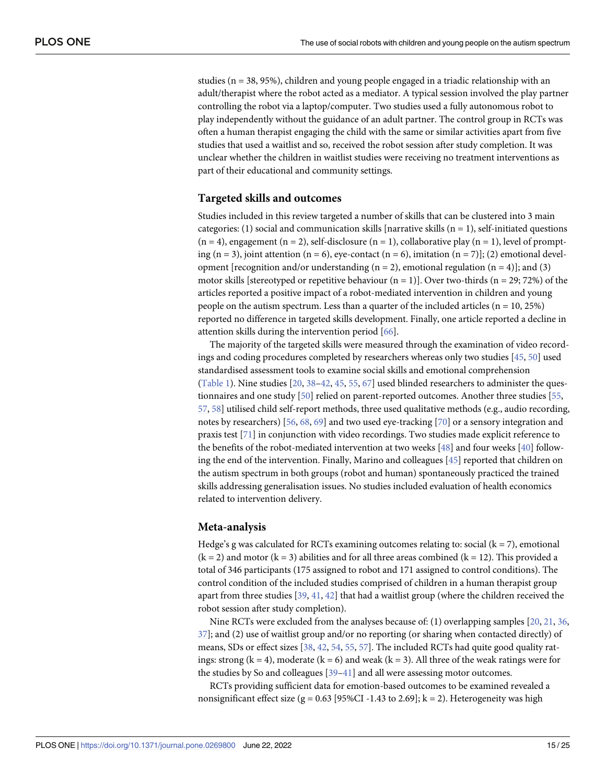<span id="page-14-0"></span>studies ( $n = 38, 95\%$ ), children and young people engaged in a triadic relationship with an adult/therapist where the robot acted as a mediator. A typical session involved the play partner controlling the robot via a laptop/computer. Two studies used a fully autonomous robot to play independently without the guidance of an adult partner. The control group in RCTs was often a human therapist engaging the child with the same or similar activities apart from five studies that used a waitlist and so, received the robot session after study completion. It was unclear whether the children in waitlist studies were receiving no treatment interventions as part of their educational and community settings.

#### **Targeted skills and outcomes**

Studies included in this review targeted a number of skills that can be clustered into 3 main categories: (1) social and communication skills [narrative skills  $(n = 1)$ , self-initiated questions  $(n = 4)$ , engagement  $(n = 2)$ , self-disclosure  $(n = 1)$ , collaborative play  $(n = 1)$ , level of prompting (n = 3), joint attention (n = 6), eye-contact (n = 6), imitation (n = 7)]; (2) emotional development [recognition and/or understanding  $(n = 2)$ , emotional regulation  $(n = 4)$ ]; and (3) motor skills [stereotyped or repetitive behaviour  $(n = 1)$ ]. Over two-thirds  $(n = 29, 72%)$  of the articles reported a positive impact of a robot-mediated intervention in children and young people on the autism spectrum. Less than a quarter of the included articles  $(n = 10, 25%)$ reported no difference in targeted skills development. Finally, one article reported a decline in attention skills during the intervention period [[66](#page-23-0)].

The majority of the targeted skills were measured through the examination of video recordings and coding procedures completed by researchers whereas only two studies [[45](#page-21-0), [50](#page-22-0)] used standardised assessment tools to examine social skills and emotional comprehension [\(Table](#page-6-0) 1). Nine studies [[20](#page-20-0), [38–42,](#page-21-0) [45,](#page-21-0) [55,](#page-22-0) [67\]](#page-23-0) used blinded researchers to administer the questionnaires and one study [\[50\]](#page-22-0) relied on parent-reported outcomes. Another three studies [[55](#page-22-0), [57,](#page-22-0) [58](#page-22-0)] utilised child self-report methods, three used qualitative methods (e.g., audio recording, notes by researchers) [\[56,](#page-22-0) [68,](#page-23-0) [69\]](#page-23-0) and two used eye-tracking [[70](#page-23-0)] or a sensory integration and praxis test [[71](#page-23-0)] in conjunction with video recordings. Two studies made explicit reference to the benefits of the robot-mediated intervention at two weeks [[48](#page-22-0)] and four weeks [[40](#page-21-0)] following the end of the intervention. Finally, Marino and colleagues [\[45\]](#page-21-0) reported that children on the autism spectrum in both groups (robot and human) spontaneously practiced the trained skills addressing generalisation issues. No studies included evaluation of health economics related to intervention delivery.

#### **Meta-analysis**

Hedge's g was calculated for RCTs examining outcomes relating to: social  $(k = 7)$ , emotional  $(k = 2)$  and motor  $(k = 3)$  abilities and for all three areas combined  $(k = 12)$ . This provided a total of 346 participants (175 assigned to robot and 171 assigned to control conditions). The control condition of the included studies comprised of children in a human therapist group apart from three studies [[39](#page-21-0), [41](#page-21-0), [42](#page-21-0)] that had a waitlist group (where the children received the robot session after study completion).

Nine RCTs were excluded from the analyses because of: (1) overlapping samples [[20](#page-20-0), [21](#page-20-0), [36](#page-21-0), [37\]](#page-21-0); and (2) use of waitlist group and/or no reporting (or sharing when contacted directly) of means, SDs or effect sizes [[38](#page-21-0), [42](#page-21-0), [54](#page-22-0), [55](#page-22-0), [57](#page-22-0)]. The included RCTs had quite good quality ratings: strong ( $k = 4$ ), moderate ( $k = 6$ ) and weak ( $k = 3$ ). All three of the weak ratings were for the studies by So and colleagues [[39](#page-21-0)–[41](#page-21-0)] and all were assessing motor outcomes.

RCTs providing sufficient data for emotion-based outcomes to be examined revealed a nonsignificant effect size (g =  $0.63$  [95%CI -1.43 to 2.69]; k = 2). Heterogeneity was high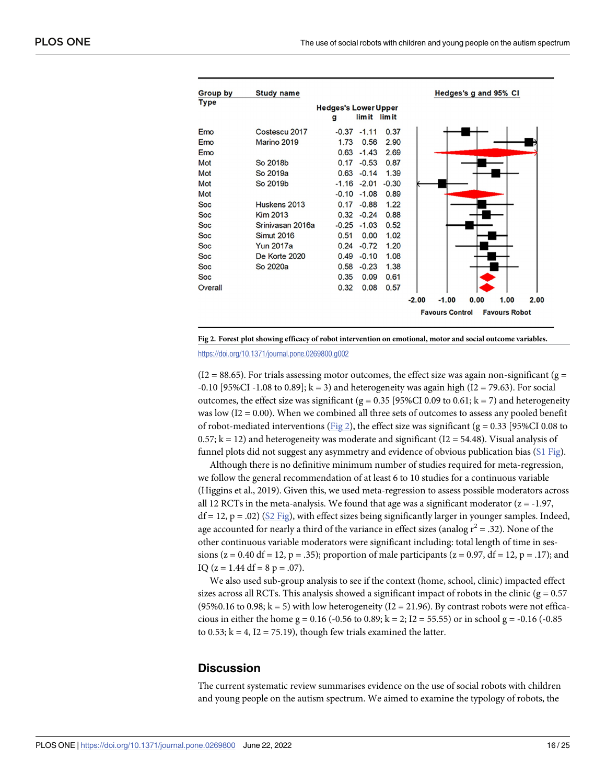| Group by   | <b>Study name</b> |                                  |                |         |         |                        | Hedges's g and 95% CI |                      |      |
|------------|-------------------|----------------------------------|----------------|---------|---------|------------------------|-----------------------|----------------------|------|
| Type       |                   | <b>Hedges's Lower Upper</b><br>g | lim it lim it  |         |         |                        |                       |                      |      |
| Emo        | Costescu 2017     |                                  | $-0.37 -1.11$  | 0.37    |         |                        |                       |                      |      |
| Emo        | Marino 2019       | 1.73                             | 0.56           | 2.90    |         |                        |                       |                      |      |
| Emo        |                   | 0.63                             | $-1.43$        | 2.69    |         |                        |                       |                      |      |
| Mot        | So 2018b          | 0.17                             | $-0.53$        | 0.87    |         |                        |                       |                      |      |
| Mot        | So 2019a          | 0.63                             | $-0.14$        | 1.39    |         |                        |                       |                      |      |
| Mot        | So 2019b          |                                  | $-1.16 - 2.01$ | $-0.30$ |         |                        |                       |                      |      |
| Mot        |                   |                                  | $-0.10 -1.08$  | 0.89    |         |                        |                       |                      |      |
| <b>Soc</b> | Huskens 2013      | 0.17                             | $-0.88$        | 1.22    |         |                        |                       |                      |      |
| <b>Soc</b> | <b>Kim 2013</b>   |                                  | $0.32 -0.24$   | 0.88    |         |                        |                       |                      |      |
| <b>Soc</b> | Sriniyasan 2016a  | $-0.25$                          | $-1.03$        | 0.52    |         |                        |                       |                      |      |
| <b>Soc</b> | <b>Simut 2016</b> | 0.51                             | 0.00           | 1.02    |         |                        |                       |                      |      |
| <b>Soc</b> | <b>Yun 2017a</b>  | 0.24                             | $-0.72$        | 1.20    |         |                        |                       |                      |      |
| <b>Soc</b> | De Korte 2020     | 0.49                             | $-0.10$        | 1.08    |         |                        |                       |                      |      |
| Soc        | So 2020a          | 0.58                             | $-0.23$        | 1.38    |         |                        |                       |                      |      |
| <b>Soc</b> |                   | 0.35                             | 0.09           | 0.61    |         |                        |                       |                      |      |
| Overall    |                   | 0.32                             | 0.08           | 0.57    |         |                        |                       |                      |      |
|            |                   |                                  |                |         | $-2.00$ | $-1.00$                | 0.00                  | 1.00                 | 2.00 |
|            |                   |                                  |                |         |         | <b>Favours Control</b> |                       | <b>Favours Robot</b> |      |



 $(I2 = 88.65)$ . For trials assessing motor outcomes, the effect size was again non-significant (g =  $-0.10$  [95%CI  $-1.08$  to 0.89]; k = 3) and heterogeneity was again high (I2 = 79.63). For social outcomes, the effect size was significant (g =  $0.35$  [95%CI 0.09 to 0.61; k = 7) and heterogeneity was low ( $I2 = 0.00$ ). When we combined all three sets of outcomes to assess any pooled benefit of robot-mediated interventions (Fig 2), the effect size was significant ( $g = 0.33$  [95%CI 0.08 to  $0.57$ ; k = 12) and heterogeneity was moderate and significant (I2 = 54.48). Visual analysis of funnel plots did not suggest any asymmetry and evidence of obvious publication bias (S1 [Fig](#page-18-0)).

Although there is no definitive minimum number of studies required for meta-regression, we follow the general recommendation of at least 6 to 10 studies for a continuous variable (Higgins et al., 2019). Given this, we used meta-regression to assess possible moderators across all 12 RCTs in the meta-analysis. We found that age was a significant moderator  $(z = -1.97, z = 1.97)$  $df = 12$ ,  $p = .02$ ) (S2 [Fig](#page-18-0)), with effect sizes being significantly larger in younger samples. Indeed, age accounted for nearly a third of the variance in effect sizes (analog  $r^2 = .32$ ). None of the other continuous variable moderators were significant including: total length of time in sessions (z = 0.40 df = 12, p = .35); proportion of male participants (z = 0.97, df = 12, p = .17); and IQ ( $z = 1.44$  df = 8 p = .07).

We also used sub-group analysis to see if the context (home, school, clinic) impacted effect sizes across all RCTs. This analysis showed a significant impact of robots in the clinic ( $g = 0.57$ )  $(95\%0.16 \text{ to } 0.98; k = 5)$  with low heterogeneity  $(12 = 21.96)$ . By contrast robots were not efficacious in either the home g = 0.16 (-0.56 to 0.89; k = 2; I2 = 55.55) or in school g = -0.16 (-0.85) to 0.53;  $k = 4$ ,  $I2 = 75.19$ ), though few trials examined the latter.

#### **Discussion**

The current systematic review summarises evidence on the use of social robots with children and young people on the autism spectrum. We aimed to examine the typology of robots, the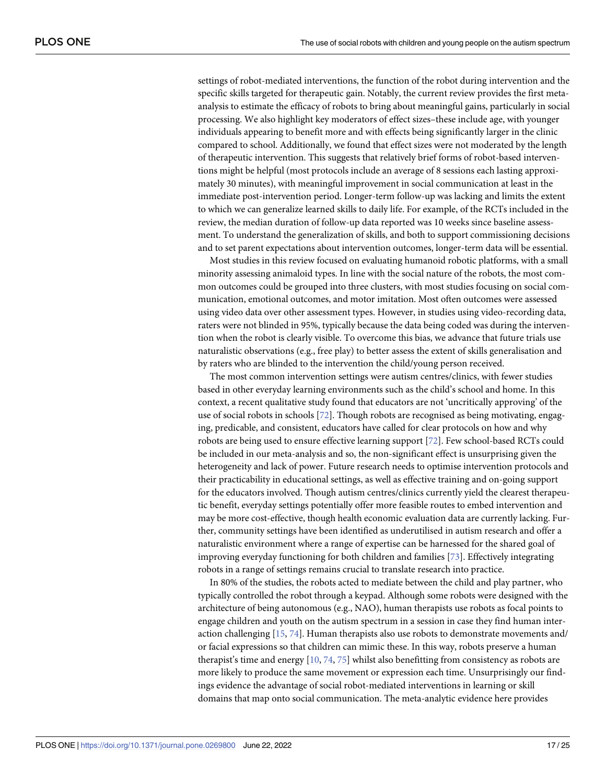<span id="page-16-0"></span>settings of robot-mediated interventions, the function of the robot during intervention and the specific skills targeted for therapeutic gain. Notably, the current review provides the first metaanalysis to estimate the efficacy of robots to bring about meaningful gains, particularly in social processing. We also highlight key moderators of effect sizes–these include age, with younger individuals appearing to benefit more and with effects being significantly larger in the clinic compared to school. Additionally, we found that effect sizes were not moderated by the length of therapeutic intervention. This suggests that relatively brief forms of robot-based interventions might be helpful (most protocols include an average of 8 sessions each lasting approximately 30 minutes), with meaningful improvement in social communication at least in the immediate post-intervention period. Longer-term follow-up was lacking and limits the extent to which we can generalize learned skills to daily life. For example, of the RCTs included in the review, the median duration of follow-up data reported was 10 weeks since baseline assessment. To understand the generalization of skills, and both to support commissioning decisions and to set parent expectations about intervention outcomes, longer-term data will be essential.

Most studies in this review focused on evaluating humanoid robotic platforms, with a small minority assessing animaloid types. In line with the social nature of the robots, the most common outcomes could be grouped into three clusters, with most studies focusing on social communication, emotional outcomes, and motor imitation. Most often outcomes were assessed using video data over other assessment types. However, in studies using video-recording data, raters were not blinded in 95%, typically because the data being coded was during the intervention when the robot is clearly visible. To overcome this bias, we advance that future trials use naturalistic observations (e.g., free play) to better assess the extent of skills generalisation and by raters who are blinded to the intervention the child/young person received.

The most common intervention settings were autism centres/clinics, with fewer studies based in other everyday learning environments such as the child's school and home. In this context, a recent qualitative study found that educators are not 'uncritically approving' of the use of social robots in schools [\[72\]](#page-23-0). Though robots are recognised as being motivating, engaging, predicable, and consistent, educators have called for clear protocols on how and why robots are being used to ensure effective learning support [\[72\]](#page-23-0). Few school-based RCTs could be included in our meta-analysis and so, the non-significant effect is unsurprising given the heterogeneity and lack of power. Future research needs to optimise intervention protocols and their practicability in educational settings, as well as effective training and on-going support for the educators involved. Though autism centres/clinics currently yield the clearest therapeutic benefit, everyday settings potentially offer more feasible routes to embed intervention and may be more cost-effective, though health economic evaluation data are currently lacking. Further, community settings have been identified as underutilised in autism research and offer a naturalistic environment where a range of expertise can be harnessed for the shared goal of improving everyday functioning for both children and families [\[73\]](#page-23-0). Effectively integrating robots in a range of settings remains crucial to translate research into practice.

In 80% of the studies, the robots acted to mediate between the child and play partner, who typically controlled the robot through a keypad. Although some robots were designed with the architecture of being autonomous (e.g., NAO), human therapists use robots as focal points to engage children and youth on the autism spectrum in a session in case they find human interaction challenging [[15](#page-20-0), [74](#page-23-0)]. Human therapists also use robots to demonstrate movements and/ or facial expressions so that children can mimic these. In this way, robots preserve a human therapist's time and energy [\[10,](#page-20-0) [74](#page-23-0), [75](#page-23-0)] whilst also benefitting from consistency as robots are more likely to produce the same movement or expression each time. Unsurprisingly our findings evidence the advantage of social robot-mediated interventions in learning or skill domains that map onto social communication. The meta-analytic evidence here provides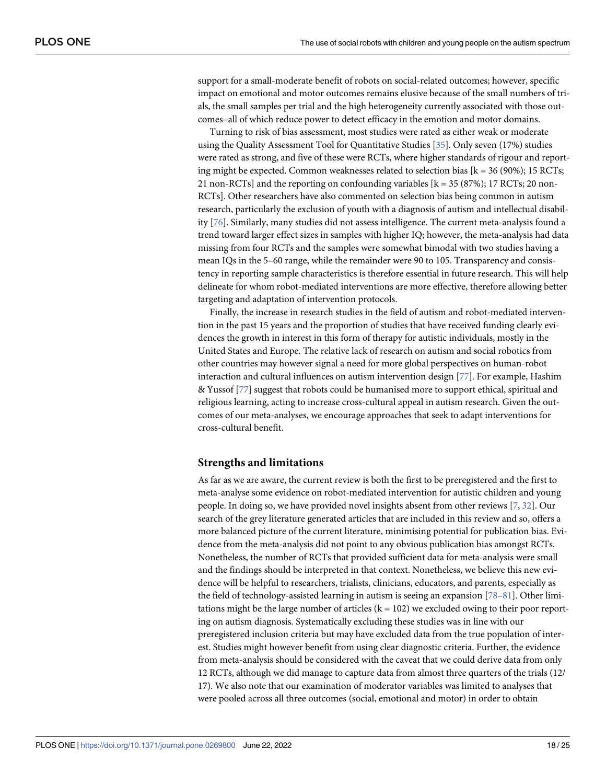<span id="page-17-0"></span>support for a small-moderate benefit of robots on social-related outcomes; however, specific impact on emotional and motor outcomes remains elusive because of the small numbers of trials, the small samples per trial and the high heterogeneity currently associated with those outcomes–all of which reduce power to detect efficacy in the emotion and motor domains.

Turning to risk of bias assessment, most studies were rated as either weak or moderate using the Quality Assessment Tool for Quantitative Studies [[35\]](#page-21-0). Only seven (17%) studies were rated as strong, and five of these were RCTs, where higher standards of rigour and reporting might be expected. Common weaknesses related to selection bias  $[k = 36 (90\%); 15 RCTs;$ 21 non-RCTs] and the reporting on confounding variables  $[k = 35 (87\%); 17 RCTs; 20 non-$ RCTs]. Other researchers have also commented on selection bias being common in autism research, particularly the exclusion of youth with a diagnosis of autism and intellectual disability [[76](#page-23-0)]. Similarly, many studies did not assess intelligence. The current meta-analysis found a trend toward larger effect sizes in samples with higher IQ; however, the meta-analysis had data missing from four RCTs and the samples were somewhat bimodal with two studies having a mean IQs in the 5–60 range, while the remainder were 90 to 105. Transparency and consistency in reporting sample characteristics is therefore essential in future research. This will help delineate for whom robot-mediated interventions are more effective, therefore allowing better targeting and adaptation of intervention protocols.

Finally, the increase in research studies in the field of autism and robot-mediated intervention in the past 15 years and the proportion of studies that have received funding clearly evidences the growth in interest in this form of therapy for autistic individuals, mostly in the United States and Europe. The relative lack of research on autism and social robotics from other countries may however signal a need for more global perspectives on human-robot interaction and cultural influences on autism intervention design [\[77\]](#page-23-0). For example, Hashim & Yussof [[77](#page-23-0)] suggest that robots could be humanised more to support ethical, spiritual and religious learning, acting to increase cross-cultural appeal in autism research. Given the outcomes of our meta-analyses, we encourage approaches that seek to adapt interventions for cross-cultural benefit.

#### **Strengths and limitations**

As far as we are aware, the current review is both the first to be preregistered and the first to meta-analyse some evidence on robot-mediated intervention for autistic children and young people. In doing so, we have provided novel insights absent from other reviews [[7](#page-20-0), [32](#page-21-0)]. Our search of the grey literature generated articles that are included in this review and so, offers a more balanced picture of the current literature, minimising potential for publication bias. Evidence from the meta-analysis did not point to any obvious publication bias amongst RCTs. Nonetheless, the number of RCTs that provided sufficient data for meta-analysis were small and the findings should be interpreted in that context. Nonetheless, we believe this new evidence will be helpful to researchers, trialists, clinicians, educators, and parents, especially as the field of technology-assisted learning in autism is seeing an expansion [\[78–81\]](#page-23-0). Other limitations might be the large number of articles  $(k = 102)$  we excluded owing to their poor reporting on autism diagnosis. Systematically excluding these studies was in line with our preregistered inclusion criteria but may have excluded data from the true population of interest. Studies might however benefit from using clear diagnostic criteria. Further, the evidence from meta-analysis should be considered with the caveat that we could derive data from only 12 RCTs, although we did manage to capture data from almost three quarters of the trials (12/ 17). We also note that our examination of moderator variables was limited to analyses that were pooled across all three outcomes (social, emotional and motor) in order to obtain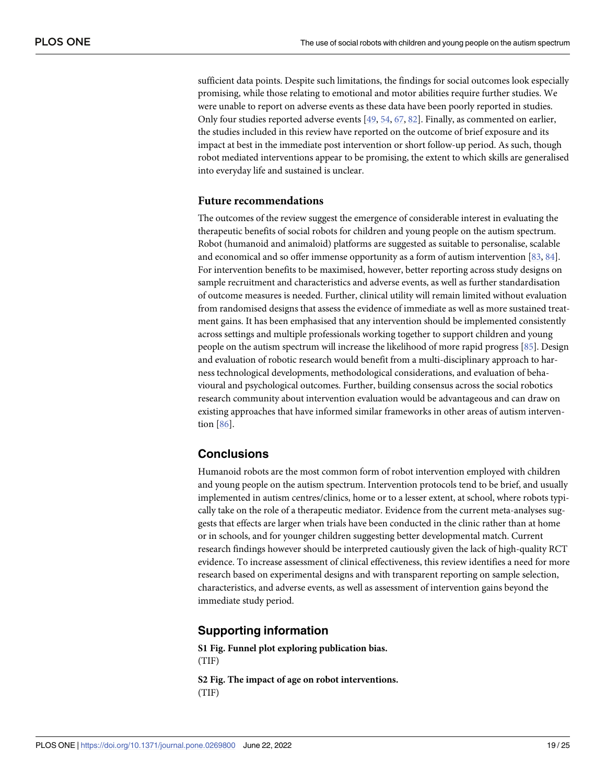<span id="page-18-0"></span>sufficient data points. Despite such limitations, the findings for social outcomes look especially promising, while those relating to emotional and motor abilities require further studies. We were unable to report on adverse events as these data have been poorly reported in studies. Only four studies reported adverse events [[49](#page-22-0), [54](#page-22-0), [67](#page-23-0), [82\]](#page-24-0). Finally, as commented on earlier, the studies included in this review have reported on the outcome of brief exposure and its impact at best in the immediate post intervention or short follow-up period. As such, though robot mediated interventions appear to be promising, the extent to which skills are generalised into everyday life and sustained is unclear.

#### **Future recommendations**

The outcomes of the review suggest the emergence of considerable interest in evaluating the therapeutic benefits of social robots for children and young people on the autism spectrum. Robot (humanoid and animaloid) platforms are suggested as suitable to personalise, scalable and economical and so offer immense opportunity as a form of autism intervention [\[83,](#page-24-0) [84\]](#page-24-0). For intervention benefits to be maximised, however, better reporting across study designs on sample recruitment and characteristics and adverse events, as well as further standardisation of outcome measures is needed. Further, clinical utility will remain limited without evaluation from randomised designs that assess the evidence of immediate as well as more sustained treatment gains. It has been emphasised that any intervention should be implemented consistently across settings and multiple professionals working together to support children and young people on the autism spectrum will increase the likelihood of more rapid progress [[85](#page-24-0)]. Design and evaluation of robotic research would benefit from a multi-disciplinary approach to harness technological developments, methodological considerations, and evaluation of behavioural and psychological outcomes. Further, building consensus across the social robotics research community about intervention evaluation would be advantageous and can draw on existing approaches that have informed similar frameworks in other areas of autism intervention [[86](#page-24-0)].

## **Conclusions**

Humanoid robots are the most common form of robot intervention employed with children and young people on the autism spectrum. Intervention protocols tend to be brief, and usually implemented in autism centres/clinics, home or to a lesser extent, at school, where robots typically take on the role of a therapeutic mediator. Evidence from the current meta-analyses suggests that effects are larger when trials have been conducted in the clinic rather than at home or in schools, and for younger children suggesting better developmental match. Current research findings however should be interpreted cautiously given the lack of high-quality RCT evidence. To increase assessment of clinical effectiveness, this review identifies a need for more research based on experimental designs and with transparent reporting on sample selection, characteristics, and adverse events, as well as assessment of intervention gains beyond the immediate study period.

#### **Supporting information**

**S1 [Fig](http://www.plosone.org/article/fetchSingleRepresentation.action?uri=info:doi/10.1371/journal.pone.0269800.s001). Funnel plot exploring publication bias.** (TIF)

**S2 [Fig](http://www.plosone.org/article/fetchSingleRepresentation.action?uri=info:doi/10.1371/journal.pone.0269800.s002). The impact of age on robot interventions.** (TIF)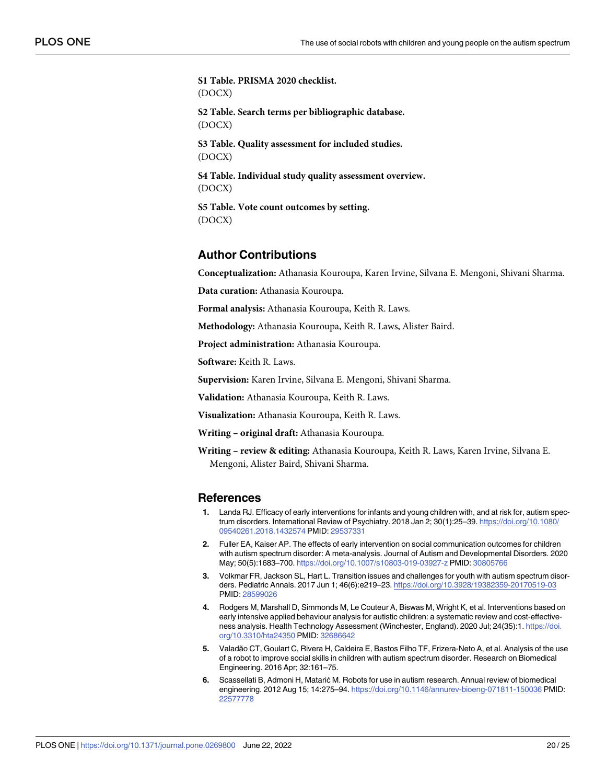<span id="page-19-0"></span>**S1 [Table.](http://www.plosone.org/article/fetchSingleRepresentation.action?uri=info:doi/10.1371/journal.pone.0269800.s003) PRISMA 2020 checklist.** (DOCX) **S2 [Table.](http://www.plosone.org/article/fetchSingleRepresentation.action?uri=info:doi/10.1371/journal.pone.0269800.s004) Search terms per bibliographic database.** (DOCX) **S3 [Table.](http://www.plosone.org/article/fetchSingleRepresentation.action?uri=info:doi/10.1371/journal.pone.0269800.s005) Quality assessment for included studies.** (DOCX) **S4 [Table.](http://www.plosone.org/article/fetchSingleRepresentation.action?uri=info:doi/10.1371/journal.pone.0269800.s006) Individual study quality assessment overview.** (DOCX) **S5 [Table.](http://www.plosone.org/article/fetchSingleRepresentation.action?uri=info:doi/10.1371/journal.pone.0269800.s007) Vote count outcomes by setting.** (DOCX)

## **Author Contributions**

**Conceptualization:** Athanasia Kouroupa, Karen Irvine, Silvana E. Mengoni, Shivani Sharma.

**Data curation:** Athanasia Kouroupa.

**Formal analysis:** Athanasia Kouroupa, Keith R. Laws.

**Methodology:** Athanasia Kouroupa, Keith R. Laws, Alister Baird.

**Project administration:** Athanasia Kouroupa.

**Software:** Keith R. Laws.

**Supervision:** Karen Irvine, Silvana E. Mengoni, Shivani Sharma.

**Validation:** Athanasia Kouroupa, Keith R. Laws.

**Visualization:** Athanasia Kouroupa, Keith R. Laws.

**Writing – original draft:** Athanasia Kouroupa.

**Writing – review & editing:** Athanasia Kouroupa, Keith R. Laws, Karen Irvine, Silvana E. Mengoni, Alister Baird, Shivani Sharma.

#### **References**

- **[1](#page-1-0).** Landa RJ. Efficacy of early interventions for infants and young children with, and at risk for, autism spectrum disorders. International Review of Psychiatry. 2018 Jan 2; 30(1):25–39. [https://doi.org/10.1080/](https://doi.org/10.1080/09540261.2018.1432574) [09540261.2018.1432574](https://doi.org/10.1080/09540261.2018.1432574) PMID: [29537331](http://www.ncbi.nlm.nih.gov/pubmed/29537331)
- **[2](#page-1-0).** Fuller EA, Kaiser AP. The effects of early intervention on social communication outcomes for children with autism spectrum disorder: A meta-analysis. Journal of Autism and Developmental Disorders. 2020 May; 50(5):1683–700. <https://doi.org/10.1007/s10803-019-03927-z> PMID: [30805766](http://www.ncbi.nlm.nih.gov/pubmed/30805766)
- **[3](#page-1-0).** Volkmar FR, Jackson SL, Hart L. Transition issues and challenges for youth with autism spectrum disorders. Pediatric Annals. 2017 Jun 1; 46(6):e219–23. <https://doi.org/10.3928/19382359-20170519-03> PMID: [28599026](http://www.ncbi.nlm.nih.gov/pubmed/28599026)
- **[4](#page-1-0).** Rodgers M, Marshall D, Simmonds M, Le Couteur A, Biswas M, Wright K, et al. Interventions based on early intensive applied behaviour analysis for autistic children: a systematic review and cost-effectiveness analysis. Health Technology Assessment (Winchester, England). 2020 Jul; 24(35):1. [https://doi.](https://doi.org/10.3310/hta24350) [org/10.3310/hta24350](https://doi.org/10.3310/hta24350) PMID: [32686642](http://www.ncbi.nlm.nih.gov/pubmed/32686642)
- **[5](#page-1-0).** Valadão CT, Goulart C, Rivera H, Caldeira E, Bastos Filho TF, Frizera-Neto A, et al. Analysis of the use of a robot to improve social skills in children with autism spectrum disorder. Research on Biomedical Engineering. 2016 Apr; 32:161–75.
- **[6](#page-1-0).** Scassellati B, Admoni H, Matarić M. Robots for use in autism research. Annual review of biomedical engineering. 2012 Aug 15; 14:275–94. <https://doi.org/10.1146/annurev-bioeng-071811-150036> PMID: [22577778](http://www.ncbi.nlm.nih.gov/pubmed/22577778)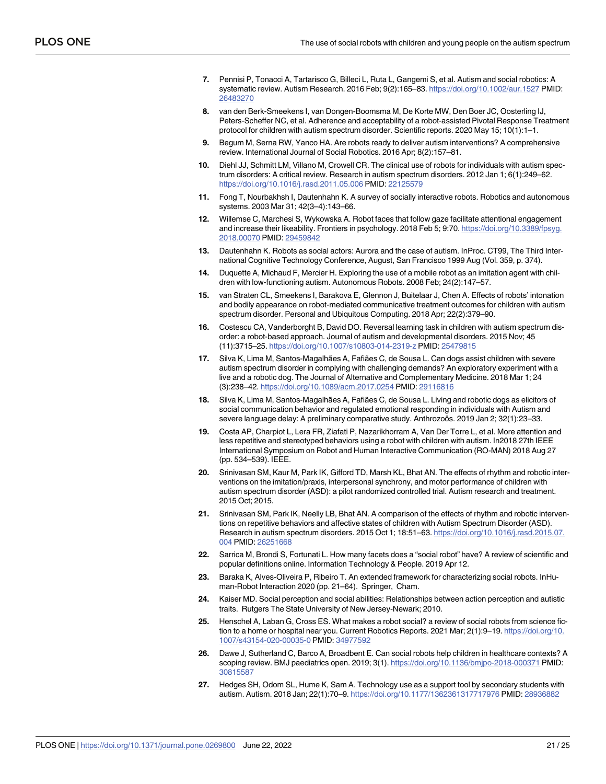- <span id="page-20-0"></span>**[7](#page-17-0).** Pennisi P, Tonacci A, Tartarisco G, Billeci L, Ruta L, Gangemi S, et al. Autism and social robotics: A systematic review. Autism Research. 2016 Feb; 9(2):165–83. <https://doi.org/10.1002/aur.1527> PMID: [26483270](http://www.ncbi.nlm.nih.gov/pubmed/26483270)
- **[8](#page-1-0).** van den Berk-Smeekens I, van Dongen-Boomsma M, De Korte MW, Den Boer JC, Oosterling IJ, Peters-Scheffer NC, et al. Adherence and acceptability of a robot-assisted Pivotal Response Treatment protocol for children with autism spectrum disorder. Scientific reports. 2020 May 15; 10(1):1–1.
- **[9](#page-1-0).** Begum M, Serna RW, Yanco HA. Are robots ready to deliver autism interventions? A comprehensive review. International Journal of Social Robotics. 2016 Apr; 8(2):157–81.
- **[10](#page-16-0).** Diehl JJ, Schmitt LM, Villano M, Crowell CR. The clinical use of robots for individuals with autism spectrum disorders: A critical review. Research in autism spectrum disorders. 2012 Jan 1; 6(1):249–62. <https://doi.org/10.1016/j.rasd.2011.05.006> PMID: [22125579](http://www.ncbi.nlm.nih.gov/pubmed/22125579)
- **11.** Fong T, Nourbakhsh I, Dautenhahn K. A survey of socially interactive robots. Robotics and autonomous systems. 2003 Mar 31; 42(3–4):143–66.
- **[12](#page-1-0).** Willemse C, Marchesi S, Wykowska A. Robot faces that follow gaze facilitate attentional engagement and increase their likeability. Frontiers in psychology. 2018 Feb 5; 9:70. [https://doi.org/10.3389/fpsyg.](https://doi.org/10.3389/fpsyg.2018.00070) [2018.00070](https://doi.org/10.3389/fpsyg.2018.00070) PMID: [29459842](http://www.ncbi.nlm.nih.gov/pubmed/29459842)
- **[13](#page-1-0).** Dautenhahn K. Robots as social actors: Aurora and the case of autism. InProc. CT99, The Third International Cognitive Technology Conference, August, San Francisco 1999 Aug (Vol. 359, p. 374).
- **[14](#page-11-0).** Duquette A, Michaud F, Mercier H. Exploring the use of a mobile robot as an imitation agent with children with low-functioning autism. Autonomous Robots. 2008 Feb; 24(2):147–57.
- **[15](#page-16-0).** van Straten CL, Smeekens I, Barakova E, Glennon J, Buitelaar J, Chen A. Effects of robots' intonation and bodily appearance on robot-mediated communicative treatment outcomes for children with autism spectrum disorder. Personal and Ubiquitous Computing. 2018 Apr; 22(2):379–90.
- **[16](#page-9-0).** Costescu CA, Vanderborght B, David DO. Reversal learning task in children with autism spectrum disorder: a robot-based approach. Journal of autism and developmental disorders. 2015 Nov; 45 (11):3715–25. <https://doi.org/10.1007/s10803-014-2319-z> PMID: [25479815](http://www.ncbi.nlm.nih.gov/pubmed/25479815)
- **[17](#page-1-0).** Silva K, Lima M, Santos-Magalhães A, Fafiães C, de Sousa L. Can dogs assist children with severe autism spectrum disorder in complying with challenging demands? An exploratory experiment with a live and a robotic dog. The Journal of Alternative and Complementary Medicine. 2018 Mar 1; 24 (3):238–42. <https://doi.org/10.1089/acm.2017.0254> PMID: [29116816](http://www.ncbi.nlm.nih.gov/pubmed/29116816)
- **[18](#page-12-0).** Silva K, Lima M, Santos-Magalhães A, Fafiães C, de Sousa L. Living and robotic dogs as elicitors of social communication behavior and regulated emotional responding in individuals with Autism and severe language delay: A preliminary comparative study. Anthrozoös. 2019 Jan 2; 32(1):23-33.
- **[19](#page-1-0).** Costa AP, Charpiot L, Lera FR, Ziafati P, Nazarikhorram A, Van Der Torre L, et al. More attention and less repetitive and stereotyped behaviors using a robot with children with autism. In2018 27th IEEE International Symposium on Robot and Human Interactive Communication (RO-MAN) 2018 Aug 27 (pp. 534–539). IEEE.
- **[20](#page-12-0).** Srinivasan SM, Kaur M, Park IK, Gifford TD, Marsh KL, Bhat AN. The effects of rhythm and robotic interventions on the imitation/praxis, interpersonal synchrony, and motor performance of children with autism spectrum disorder (ASD): a pilot randomized controlled trial. Autism research and treatment. 2015 Oct; 2015.
- **[21](#page-14-0).** Srinivasan SM, Park IK, Neelly LB, Bhat AN. A comparison of the effects of rhythm and robotic interventions on repetitive behaviors and affective states of children with Autism Spectrum Disorder (ASD). Research in autism spectrum disorders. 2015 Oct 1; 18:51–63. [https://doi.org/10.1016/j.rasd.2015.07.](https://doi.org/10.1016/j.rasd.2015.07.004) [004](https://doi.org/10.1016/j.rasd.2015.07.004) PMID: [26251668](http://www.ncbi.nlm.nih.gov/pubmed/26251668)
- **[22](#page-1-0).** Sarrica M, Brondi S, Fortunati L. How many facets does a "social robot" have? A review of scientific and popular definitions online. Information Technology & People. 2019 Apr 12.
- **[23](#page-1-0).** Baraka K, Alves-Oliveira P, Ribeiro T. An extended framework for characterizing social robots. InHuman-Robot Interaction 2020 (pp. 21–64). Springer, Cham.
- **[24](#page-1-0).** Kaiser MD. Social perception and social abilities: Relationships between action perception and autistic traits. Rutgers The State University of New Jersey-Newark; 2010.
- **[25](#page-2-0).** Henschel A, Laban G, Cross ES. What makes a robot social? a review of social robots from science fiction to a home or hospital near you. Current Robotics Reports. 2021 Mar; 2(1):9–19. [https://doi.org/10.](https://doi.org/10.1007/s43154-020-00035-0) [1007/s43154-020-00035-0](https://doi.org/10.1007/s43154-020-00035-0) PMID: [34977592](http://www.ncbi.nlm.nih.gov/pubmed/34977592)
- **[26](#page-2-0).** Dawe J, Sutherland C, Barco A, Broadbent E. Can social robots help children in healthcare contexts? A scoping review. BMJ paediatrics open. 2019; 3(1). <https://doi.org/10.1136/bmjpo-2018-000371> PMID: [30815587](http://www.ncbi.nlm.nih.gov/pubmed/30815587)
- **[27](#page-2-0).** Hedges SH, Odom SL, Hume K, Sam A. Technology use as a support tool by secondary students with autism. Autism. 2018 Jan; 22(1):70–9. <https://doi.org/10.1177/1362361317717976> PMID: [28936882](http://www.ncbi.nlm.nih.gov/pubmed/28936882)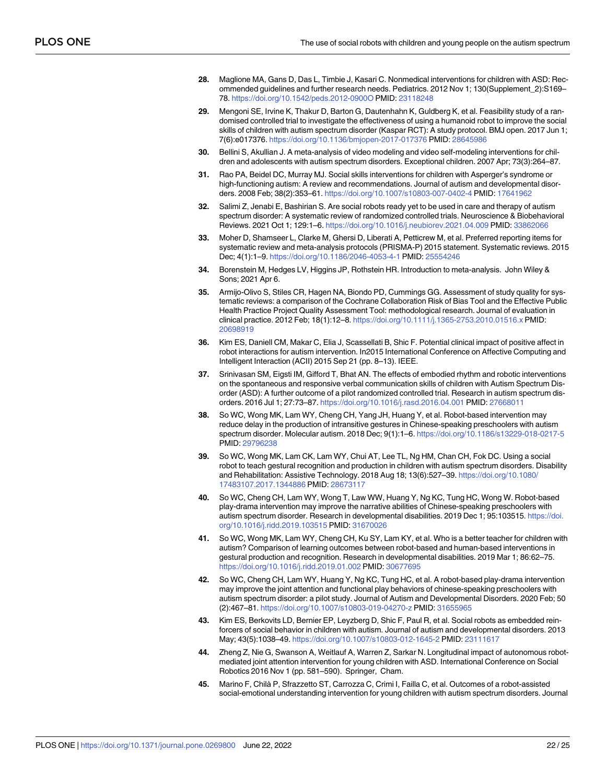- <span id="page-21-0"></span>**[28](#page-2-0).** Maglione MA, Gans D, Das L, Timbie J, Kasari C. Nonmedical interventions for children with ASD: Recommended guidelines and further research needs. Pediatrics. 2012 Nov 1; 130(Supplement\_2):S169– 78. <https://doi.org/10.1542/peds.2012-0900O> PMID: [23118248](http://www.ncbi.nlm.nih.gov/pubmed/23118248)
- **[29](#page-2-0).** Mengoni SE, Irvine K, Thakur D, Barton G, Dautenhahn K, Guldberg K, et al. Feasibility study of a randomised controlled trial to investigate the effectiveness of using a humanoid robot to improve the social skills of children with autism spectrum disorder (Kaspar RCT): A study protocol. BMJ open. 2017 Jun 1; 7(6):e017376. <https://doi.org/10.1136/bmjopen-2017-017376> PMID: [28645986](http://www.ncbi.nlm.nih.gov/pubmed/28645986)
- **[30](#page-2-0).** Bellini S, Akullian J. A meta-analysis of video modeling and video self-modeling interventions for children and adolescents with autism spectrum disorders. Exceptional children. 2007 Apr; 73(3):264–87.
- **[31](#page-2-0).** Rao PA, Beidel DC, Murray MJ. Social skills interventions for children with Asperger's syndrome or high-functioning autism: A review and recommendations. Journal of autism and developmental disorders. 2008 Feb; 38(2):353–61. <https://doi.org/10.1007/s10803-007-0402-4> PMID: [17641962](http://www.ncbi.nlm.nih.gov/pubmed/17641962)
- **[32](#page-17-0).** Salimi Z, Jenabi E, Bashirian S. Are social robots ready yet to be used in care and therapy of autism spectrum disorder: A systematic review of randomized controlled trials. Neuroscience & Biobehavioral Reviews. 2021 Oct 1; 129:1–6. <https://doi.org/10.1016/j.neubiorev.2021.04.009> PMID: [33862066](http://www.ncbi.nlm.nih.gov/pubmed/33862066)
- **[33](#page-2-0).** Moher D, Shamseer L, Clarke M, Ghersi D, Liberati A, Petticrew M, et al. Preferred reporting items for systematic review and meta-analysis protocols (PRISMA-P) 2015 statement. Systematic reviews. 2015 Dec; 4(1):1–9. <https://doi.org/10.1186/2046-4053-4-1> PMID: [25554246](http://www.ncbi.nlm.nih.gov/pubmed/25554246)
- **[34](#page-3-0).** Borenstein M, Hedges LV, Higgins JP, Rothstein HR. Introduction to meta-analysis. John Wiley & Sons; 2021 Apr 6.
- **[35](#page-4-0).** Armijo-Olivo S, Stiles CR, Hagen NA, Biondo PD, Cummings GG. Assessment of study quality for systematic reviews: a comparison of the Cochrane Collaboration Risk of Bias Tool and the Effective Public Health Practice Project Quality Assessment Tool: methodological research. Journal of evaluation in clinical practice. 2012 Feb; 18(1):12–8. <https://doi.org/10.1111/j.1365-2753.2010.01516.x> PMID: [20698919](http://www.ncbi.nlm.nih.gov/pubmed/20698919)
- **[36](#page-9-0).** Kim ES, Daniell CM, Makar C, Elia J, Scassellati B, Shic F. Potential clinical impact of positive affect in robot interactions for autism intervention. In2015 International Conference on Affective Computing and Intelligent Interaction (ACII) 2015 Sep 21 (pp. 8–13). IEEE.
- **[37](#page-7-0).** Srinivasan SM, Eigsti IM, Gifford T, Bhat AN. The effects of embodied rhythm and robotic interventions on the spontaneous and responsive verbal communication skills of children with Autism Spectrum Disorder (ASD): A further outcome of a pilot randomized controlled trial. Research in autism spectrum disorders. 2016 Jul 1; 27:73–87. <https://doi.org/10.1016/j.rasd.2016.04.001> PMID: [27668011](http://www.ncbi.nlm.nih.gov/pubmed/27668011)
- **[38](#page-12-0).** So WC, Wong MK, Lam WY, Cheng CH, Yang JH, Huang Y, et al. Robot-based intervention may reduce delay in the production of intransitive gestures in Chinese-speaking preschoolers with autism spectrum disorder. Molecular autism. 2018 Dec; 9(1):1–6. <https://doi.org/10.1186/s13229-018-0217-5> PMID: [29796238](http://www.ncbi.nlm.nih.gov/pubmed/29796238)
- **[39](#page-6-0).** So WC, Wong MK, Lam CK, Lam WY, Chui AT, Lee TL, Ng HM, Chan CH, Fok DC. Using a social robot to teach gestural recognition and production in children with autism spectrum disorders. Disability and Rehabilitation: Assistive Technology. 2018 Aug 18; 13(6):527–39. [https://doi.org/10.1080/](https://doi.org/10.1080/17483107.2017.1344886) [17483107.2017.1344886](https://doi.org/10.1080/17483107.2017.1344886) PMID: [28673117](http://www.ncbi.nlm.nih.gov/pubmed/28673117)
- **[40](#page-6-0).** So WC, Cheng CH, Lam WY, Wong T, Law WW, Huang Y, Ng KC, Tung HC, Wong W. Robot-based play-drama intervention may improve the narrative abilities of Chinese-speaking preschoolers with autism spectrum disorder. Research in developmental disabilities. 2019 Dec 1; 95:103515. [https://doi.](https://doi.org/10.1016/j.ridd.2019.103515) [org/10.1016/j.ridd.2019.103515](https://doi.org/10.1016/j.ridd.2019.103515) PMID: [31670026](http://www.ncbi.nlm.nih.gov/pubmed/31670026)
- **[41](#page-6-0).** So WC, Wong MK, Lam WY, Cheng CH, Ku SY, Lam KY, et al. Who is a better teacher for children with autism? Comparison of learning outcomes between robot-based and human-based interventions in gestural production and recognition. Research in developmental disabilities. 2019 Mar 1; 86:62–75. <https://doi.org/10.1016/j.ridd.2019.01.002> PMID: [30677695](http://www.ncbi.nlm.nih.gov/pubmed/30677695)
- **[42](#page-14-0).** So WC, Cheng CH, Lam WY, Huang Y, Ng KC, Tung HC, et al. A robot-based play-drama intervention may improve the joint attention and functional play behaviors of chinese-speaking preschoolers with autism spectrum disorder: a pilot study. Journal of Autism and Developmental Disorders. 2020 Feb; 50 (2):467–81. <https://doi.org/10.1007/s10803-019-04270-z> PMID: [31655965](http://www.ncbi.nlm.nih.gov/pubmed/31655965)
- **[43](#page-5-0).** Kim ES, Berkovits LD, Bernier EP, Leyzberg D, Shic F, Paul R, et al. Social robots as embedded reinforcers of social behavior in children with autism. Journal of autism and developmental disorders. 2013 May; 43(5):1038–49. <https://doi.org/10.1007/s10803-012-1645-2> PMID: [23111617](http://www.ncbi.nlm.nih.gov/pubmed/23111617)
- **[44](#page-12-0).** Zheng Z, Nie G, Swanson A, Weitlauf A, Warren Z, Sarkar N. Longitudinal impact of autonomous robotmediated joint attention intervention for young children with ASD. International Conference on Social Robotics 2016 Nov 1 (pp. 581–590). Springer, Cham.
- **[45](#page-14-0).** Marino F, Chilà P, Sfrazzetto ST, Carrozza C, Crimi I, Failla C, et al. Outcomes of a robot-assisted social-emotional understanding intervention for young children with autism spectrum disorders. Journal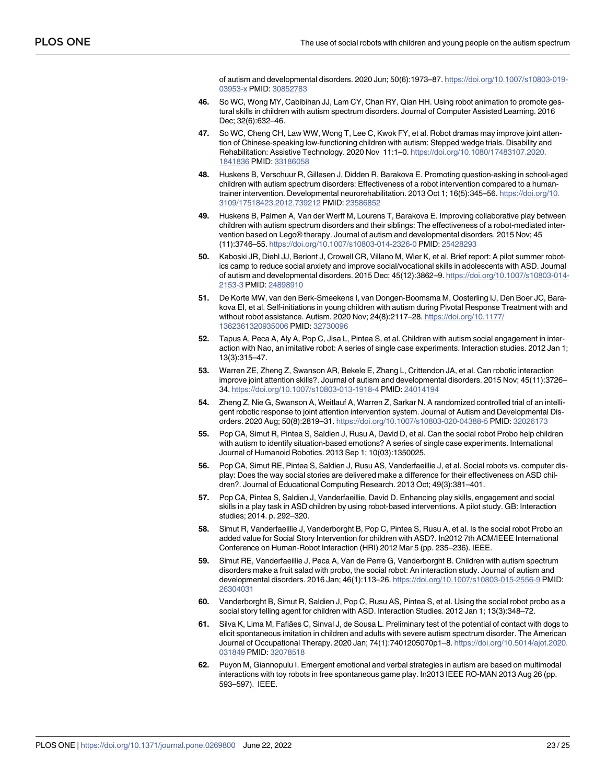of autism and developmental disorders. 2020 Jun; 50(6):1973–87. [https://doi.org/10.1007/s10803-019-](https://doi.org/10.1007/s10803-019-03953-x) [03953-x](https://doi.org/10.1007/s10803-019-03953-x) PMID: [30852783](http://www.ncbi.nlm.nih.gov/pubmed/30852783)

- <span id="page-22-0"></span>**[46](#page-10-0).** So WC, Wong MY, Cabibihan JJ, Lam CY, Chan RY, Qian HH. Using robot animation to promote gestural skills in children with autism spectrum disorders. Journal of Computer Assisted Learning. 2016 Dec; 32(6):632–46.
- **[47](#page-8-0).** So WC, Cheng CH, Law WW, Wong T, Lee C, Kwok FY, et al. Robot dramas may improve joint attention of Chinese-speaking low-functioning children with autism: Stepped wedge trials. Disability and Rehabilitation: Assistive Technology. 2020 Nov 11:1–0. [https://doi.org/10.1080/17483107.2020.](https://doi.org/10.1080/17483107.2020.1841836) [1841836](https://doi.org/10.1080/17483107.2020.1841836) PMID: [33186058](http://www.ncbi.nlm.nih.gov/pubmed/33186058)
- **[48](#page-6-0).** Huskens B, Verschuur R, Gillesen J, Didden R, Barakova E. Promoting question-asking in school-aged children with autism spectrum disorders: Effectiveness of a robot intervention compared to a humantrainer intervention. Developmental neurorehabilitation. 2013 Oct 1; 16(5):345–56. [https://doi.org/10.](https://doi.org/10.3109/17518423.2012.739212) [3109/17518423.2012.739212](https://doi.org/10.3109/17518423.2012.739212) PMID: [23586852](http://www.ncbi.nlm.nih.gov/pubmed/23586852)
- **[49](#page-18-0).** Huskens B, Palmen A, Van der Werff M, Lourens T, Barakova E. Improving collaborative play between children with autism spectrum disorders and their siblings: The effectiveness of a robot-mediated intervention based on Lego® therapy. Journal of autism and developmental disorders. 2015 Nov; 45 (11):3746–55. <https://doi.org/10.1007/s10803-014-2326-0> PMID: [25428293](http://www.ncbi.nlm.nih.gov/pubmed/25428293)
- **[50](#page-13-0).** Kaboski JR, Diehl JJ, Beriont J, Crowell CR, Villano M, Wier K, et al. Brief report: A pilot summer robotics camp to reduce social anxiety and improve social/vocational skills in adolescents with ASD. Journal of autism and developmental disorders. 2015 Dec; 45(12):3862–9. [https://doi.org/10.1007/s10803-014-](https://doi.org/10.1007/s10803-014-2153-3) [2153-3](https://doi.org/10.1007/s10803-014-2153-3) PMID: [24898910](http://www.ncbi.nlm.nih.gov/pubmed/24898910)
- **[51](#page-8-0).** De Korte MW, van den Berk-Smeekens I, van Dongen-Boomsma M, Oosterling IJ, Den Boer JC, Barakova EI, et al. Self-initiations in young children with autism during Pivotal Response Treatment with and without robot assistance. Autism. 2020 Nov; 24(8):2117–28. [https://doi.org/10.1177/](https://doi.org/10.1177/1362361320935006) [1362361320935006](https://doi.org/10.1177/1362361320935006) PMID: [32730096](http://www.ncbi.nlm.nih.gov/pubmed/32730096)
- **[52](#page-10-0).** Tapus A, Peca A, Aly A, Pop C, Jisa L, Pintea S, et al. Children with autism social engagement in interaction with Nao, an imitative robot: A series of single case experiments. Interaction studies. 2012 Jan 1; 13(3):315–47.
- **[53](#page-10-0).** Warren ZE, Zheng Z, Swanson AR, Bekele E, Zhang L, Crittendon JA, et al. Can robotic interaction improve joint attention skills?. Journal of autism and developmental disorders. 2015 Nov; 45(11):3726– 34. <https://doi.org/10.1007/s10803-013-1918-4> PMID: [24014194](http://www.ncbi.nlm.nih.gov/pubmed/24014194)
- **[54](#page-8-0).** Zheng Z, Nie G, Swanson A, Weitlauf A, Warren Z, Sarkar N. A randomized controlled trial of an intelligent robotic response to joint attention intervention system. Journal of Autism and Developmental Disorders. 2020 Aug; 50(8):2819–31. <https://doi.org/10.1007/s10803-020-04388-5> PMID: [32026173](http://www.ncbi.nlm.nih.gov/pubmed/32026173)
- **[55](#page-12-0).** Pop CA, Simut R, Pintea S, Saldien J, Rusu A, David D, et al. Can the social robot Probo help children with autism to identify situation-based emotions? A series of single case experiments. International Journal of Humanoid Robotics. 2013 Sep 1; 10(03):1350025.
- **[56](#page-11-0).** Pop CA, Simut RE, Pintea S, Saldien J, Rusu AS, Vanderfaeillie J, et al. Social robots vs. computer display: Does the way social stories are delivered make a difference for their effectiveness on ASD children?. Journal of Educational Computing Research. 2013 Oct; 49(3):381–401.
- **[57](#page-9-0).** Pop CA, Pintea S, Saldien J, Vanderfaeillie, David D. Enhancing play skills, engagement and social skills in a play task in ASD children by using robot-based interventions. A pilot study. GB: Interaction studies; 2014. p. 292–320.
- **[58](#page-14-0).** Simut R, Vanderfaeillie J, Vanderborght B, Pop C, Pintea S, Rusu A, et al. Is the social robot Probo an added value for Social Story Intervention for children with ASD?. In2012 7th ACM/IEEE International Conference on Human-Robot Interaction (HRI) 2012 Mar 5 (pp. 235–236). IEEE.
- **[59](#page-9-0).** Simut RE, Vanderfaeillie J, Peca A, Van de Perre G, Vanderborght B. Children with autism spectrum disorders make a fruit salad with probo, the social robot: An interaction study. Journal of autism and developmental disorders. 2016 Jan; 46(1):113–26. <https://doi.org/10.1007/s10803-015-2556-9> PMID: [26304031](http://www.ncbi.nlm.nih.gov/pubmed/26304031)
- **[60](#page-12-0).** Vanderborght B, Simut R, Saldien J, Pop C, Rusu AS, Pintea S, et al. Using the social robot probo as a social story telling agent for children with ASD. Interaction Studies. 2012 Jan 1; 13(3):348–72.
- **[61](#page-11-0).** Silva K, Lima M, Fafiães C, Sinval J, de Sousa L. Preliminary test of the potential of contact with dogs to elicit spontaneous imitation in children and adults with severe autism spectrum disorder. The American Journal of Occupational Therapy. 2020 Jan; 74(1):7401205070p1–8. [https://doi.org/10.5014/ajot.2020.](https://doi.org/10.5014/ajot.2020.031849) [031849](https://doi.org/10.5014/ajot.2020.031849) PMID: [32078518](http://www.ncbi.nlm.nih.gov/pubmed/32078518)
- **[62](#page-11-0).** Puyon M, Giannopulu I. Emergent emotional and verbal strategies in autism are based on multimodal interactions with toy robots in free spontaneous game play. In2013 IEEE RO-MAN 2013 Aug 26 (pp. 593–597). IEEE.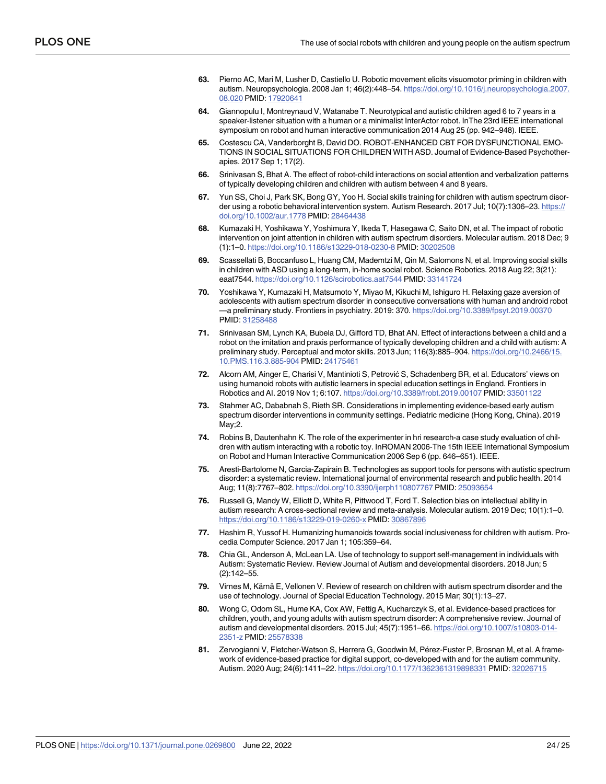- <span id="page-23-0"></span>**[63](#page-12-0).** Pierno AC, Mari M, Lusher D, Castiello U. Robotic movement elicits visuomotor priming in children with autism. Neuropsychologia. 2008 Jan 1; 46(2):448–54. [https://doi.org/10.1016/j.neuropsychologia.2007.](https://doi.org/10.1016/j.neuropsychologia.2007.08.020) [08.020](https://doi.org/10.1016/j.neuropsychologia.2007.08.020) PMID: [17920641](http://www.ncbi.nlm.nih.gov/pubmed/17920641)
- **[64](#page-12-0).** Giannopulu I, Montreynaud V, Watanabe T. Neurotypical and autistic children aged 6 to 7 years in a speaker-listener situation with a human or a minimalist InterActor robot. InThe 23rd IEEE international symposium on robot and human interactive communication 2014 Aug 25 (pp. 942–948). IEEE.
- **[65](#page-13-0).** Costescu CA, Vanderborght B, David DO. ROBOT-ENHANCED CBT FOR DYSFUNCTIONAL EMO-TIONS IN SOCIAL SITUATIONS FOR CHILDREN WITH ASD. Journal of Evidence-Based Psychotherapies. 2017 Sep 1; 17(2).
- **[66](#page-14-0).** Srinivasan S, Bhat A. The effect of robot-child interactions on social attention and verbalization patterns of typically developing children and children with autism between 4 and 8 years.
- **[67](#page-14-0).** Yun SS, Choi J, Park SK, Bong GY, Yoo H. Social skills training for children with autism spectrum disorder using a robotic behavioral intervention system. Autism Research. 2017 Jul; 10(7):1306-23. [https://](https://doi.org/10.1002/aur.1778) [doi.org/10.1002/aur.1778](https://doi.org/10.1002/aur.1778) PMID: [28464438](http://www.ncbi.nlm.nih.gov/pubmed/28464438)
- **[68](#page-14-0).** Kumazaki H, Yoshikawa Y, Yoshimura Y, Ikeda T, Hasegawa C, Saito DN, et al. The impact of robotic intervention on joint attention in children with autism spectrum disorders. Molecular autism. 2018 Dec; 9 (1):1–0. <https://doi.org/10.1186/s13229-018-0230-8> PMID: [30202508](http://www.ncbi.nlm.nih.gov/pubmed/30202508)
- **[69](#page-14-0).** Scassellati B, Boccanfuso L, Huang CM, Mademtzi M, Qin M, Salomons N, et al. Improving social skills in children with ASD using a long-term, in-home social robot. Science Robotics. 2018 Aug 22; 3(21): eaat7544. <https://doi.org/10.1126/scirobotics.aat7544> PMID: [33141724](http://www.ncbi.nlm.nih.gov/pubmed/33141724)
- **[70](#page-14-0).** Yoshikawa Y, Kumazaki H, Matsumoto Y, Miyao M, Kikuchi M, Ishiguro H. Relaxing gaze aversion of adolescents with autism spectrum disorder in consecutive conversations with human and android robot —a preliminary study. Frontiers in psychiatry. 2019: 370. <https://doi.org/10.3389/fpsyt.2019.00370> PMID: [31258488](http://www.ncbi.nlm.nih.gov/pubmed/31258488)
- **[71](#page-10-0).** Srinivasan SM, Lynch KA, Bubela DJ, Gifford TD, Bhat AN. Effect of interactions between a child and a robot on the imitation and praxis performance of typically developing children and a child with autism: A preliminary study. Perceptual and motor skills. 2013 Jun; 116(3):885–904. [https://doi.org/10.2466/15.](https://doi.org/10.2466/15.10.PMS.116.3.885-904) [10.PMS.116.3.885-904](https://doi.org/10.2466/15.10.PMS.116.3.885-904) PMID: [24175461](http://www.ncbi.nlm.nih.gov/pubmed/24175461)
- **[72](#page-16-0).** Alcorn AM, Ainger E, Charisi V, Mantinioti S, Petrović S, Schadenberg BR, et al. Educators' views on using humanoid robots with autistic learners in special education settings in England. Frontiers in Robotics and AI. 2019 Nov 1; 6:107. <https://doi.org/10.3389/frobt.2019.00107> PMID: [33501122](http://www.ncbi.nlm.nih.gov/pubmed/33501122)
- **[73](#page-16-0).** Stahmer AC, Dababnah S, Rieth SR. Considerations in implementing evidence-based early autism spectrum disorder interventions in community settings. Pediatric medicine (Hong Kong, China). 2019 May;2.
- **[74](#page-16-0).** Robins B, Dautenhahn K. The role of the experimenter in hri research-a case study evaluation of children with autism interacting with a robotic toy. InROMAN 2006-The 15th IEEE International Symposium on Robot and Human Interactive Communication 2006 Sep 6 (pp. 646–651). IEEE.
- **[75](#page-16-0).** Aresti-Bartolome N, Garcia-Zapirain B. Technologies as support tools for persons with autistic spectrum disorder: a systematic review. International journal of environmental research and public health. 2014 Aug; 11(8):7767–802. <https://doi.org/10.3390/ijerph110807767> PMID: [25093654](http://www.ncbi.nlm.nih.gov/pubmed/25093654)
- **[76](#page-17-0).** Russell G, Mandy W, Elliott D, White R, Pittwood T, Ford T. Selection bias on intellectual ability in autism research: A cross-sectional review and meta-analysis. Molecular autism. 2019 Dec; 10(1):1–0. <https://doi.org/10.1186/s13229-019-0260-x> PMID: [30867896](http://www.ncbi.nlm.nih.gov/pubmed/30867896)
- **[77](#page-17-0).** Hashim R, Yussof H. Humanizing humanoids towards social inclusiveness for children with autism. Procedia Computer Science. 2017 Jan 1; 105:359–64.
- **[78](#page-17-0).** Chia GL, Anderson A, McLean LA. Use of technology to support self-management in individuals with Autism: Systematic Review. Review Journal of Autism and developmental disorders. 2018 Jun; 5 (2):142–55.
- **79.** Virnes M, Kärnä E, Vellonen V. Review of research on children with autism spectrum disorder and the use of technology. Journal of Special Education Technology. 2015 Mar; 30(1):13–27.
- **80.** Wong C, Odom SL, Hume KA, Cox AW, Fettig A, Kucharczyk S, et al. Evidence-based practices for children, youth, and young adults with autism spectrum disorder: A comprehensive review. Journal of autism and developmental disorders. 2015 Jul; 45(7):1951–66. [https://doi.org/10.1007/s10803-014-](https://doi.org/10.1007/s10803-014-2351-z) [2351-z](https://doi.org/10.1007/s10803-014-2351-z) PMID: [25578338](http://www.ncbi.nlm.nih.gov/pubmed/25578338)
- [81](#page-17-0). Zervogianni V, Fletcher-Watson S, Herrera G, Goodwin M, Pérez-Fuster P, Brosnan M, et al. A framework of evidence-based practice for digital support, co-developed with and for the autism community. Autism. 2020 Aug; 24(6):1411–22. <https://doi.org/10.1177/1362361319898331> PMID: [32026715](http://www.ncbi.nlm.nih.gov/pubmed/32026715)